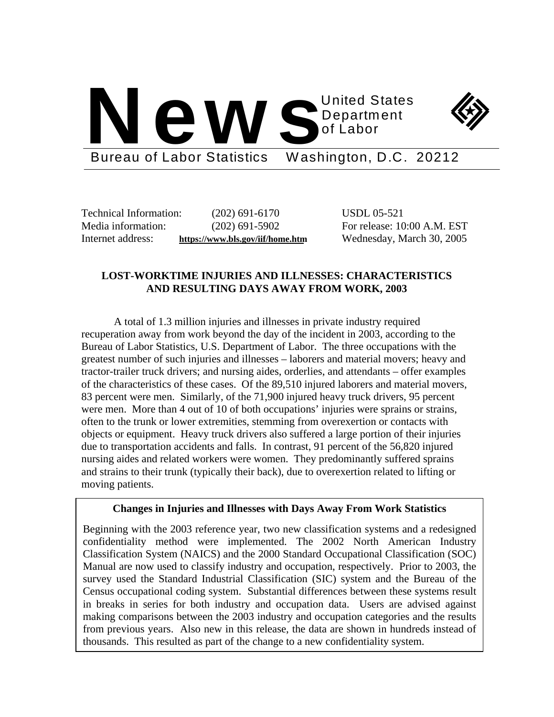



Bureau of Labor Statistics Washington, D.C. 20212

Technical Information: (202) 691-6170 USDL 05-521

Media information: (202) 691-5902 For release: 10:00 A.M. EST Internet address: **https://www.bls.gov/iif/home.htm** Wednesday, March 30, 2005

# **LOST-WORKTIME INJURIES AND ILLNESSES: CHARACTERISTICS AND RESULTING DAYS AWAY FROM WORK, 2003**

A total of 1.3 million injuries and illnesses in private industry required recuperation away from work beyond the day of the incident in 2003, according to the Bureau of Labor Statistics, U.S. Department of Labor. The three occupations with the greatest number of such injuries and illnesses – laborers and material movers; heavy and tractor-trailer truck drivers; and nursing aides, orderlies, and attendants – offer examples of the characteristics of these cases. Of the 89,510 injured laborers and material movers, 83 percent were men. Similarly, of the 71,900 injured heavy truck drivers, 95 percent were men. More than 4 out of 10 of both occupations' injuries were sprains or strains, often to the trunk or lower extremities, stemming from overexertion or contacts with objects or equipment. Heavy truck drivers also suffered a large portion of their injuries due to transportation accidents and falls. In contrast, 91 percent of the 56,820 injured nursing aides and related workers were women. They predominantly suffered sprains and strains to their trunk (typically their back), due to overexertion related to lifting or moving patients.

## **Changes in Injuries and Illnesses with Days Away From Work Statistics**

Beginning with the 2003 reference year, two new classification systems and a redesigned confidentiality method were implemented. The 2002 North American Industry Classification System (NAICS) and the 2000 Standard Occupational Classification (SOC) Manual are now used to classify industry and occupation, respectively. Prior to 2003, the survey used the Standard Industrial Classification (SIC) system and the Bureau of the Census occupational coding system. Substantial differences between these systems result in breaks in series for both industry and occupation data. Users are advised against making comparisons between the 2003 industry and occupation categories and the results from previous years. Also new in this release, the data are shown in hundreds instead of thousands. This resulted as part of the change to a new confidentiality system.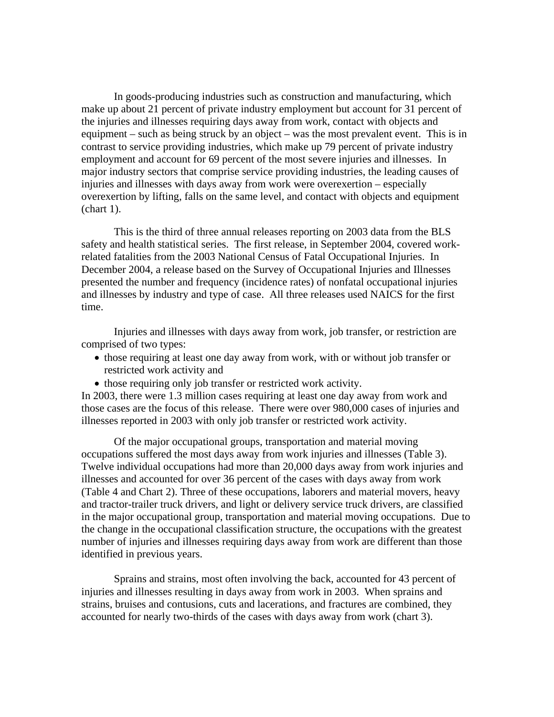In goods-producing industries such as construction and manufacturing, which make up about 21 percent of private industry employment but account for 31 percent of the injuries and illnesses requiring days away from work, contact with objects and equipment – such as being struck by an object – was the most prevalent event. This is in contrast to service providing industries, which make up 79 percent of private industry employment and account for 69 percent of the most severe injuries and illnesses. In major industry sectors that comprise service providing industries, the leading causes of injuries and illnesses with days away from work were overexertion – especially overexertion by lifting, falls on the same level, and contact with objects and equipment (chart 1).

This is the third of three annual releases reporting on 2003 data from the BLS safety and health statistical series. The first release, in September 2004, covered workrelated fatalities from the 2003 National Census of Fatal Occupational Injuries. In December 2004, a release based on the Survey of Occupational Injuries and Illnesses presented the number and frequency (incidence rates) of nonfatal occupational injuries and illnesses by industry and type of case. All three releases used NAICS for the first time.

Injuries and illnesses with days away from work, job transfer, or restriction are comprised of two types:

- those requiring at least one day away from work, with or without job transfer or restricted work activity and
- those requiring only job transfer or restricted work activity.

In 2003, there were 1.3 million cases requiring at least one day away from work and those cases are the focus of this release. There were over 980,000 cases of injuries and illnesses reported in 2003 with only job transfer or restricted work activity.

Of the major occupational groups, transportation and material moving occupations suffered the most days away from work injuries and illnesses (Table 3). Twelve individual occupations had more than 20,000 days away from work injuries and illnesses and accounted for over 36 percent of the cases with days away from work (Table 4 and Chart 2). Three of these occupations, laborers and material movers, heavy and tractor-trailer truck drivers, and light or delivery service truck drivers, are classified in the major occupational group, transportation and material moving occupations. Due to the change in the occupational classification structure, the occupations with the greatest number of injuries and illnesses requiring days away from work are different than those identified in previous years.

Sprains and strains, most often involving the back, accounted for 43 percent of injuries and illnesses resulting in days away from work in 2003. When sprains and strains, bruises and contusions, cuts and lacerations, and fractures are combined, they accounted for nearly two-thirds of the cases with days away from work (chart 3).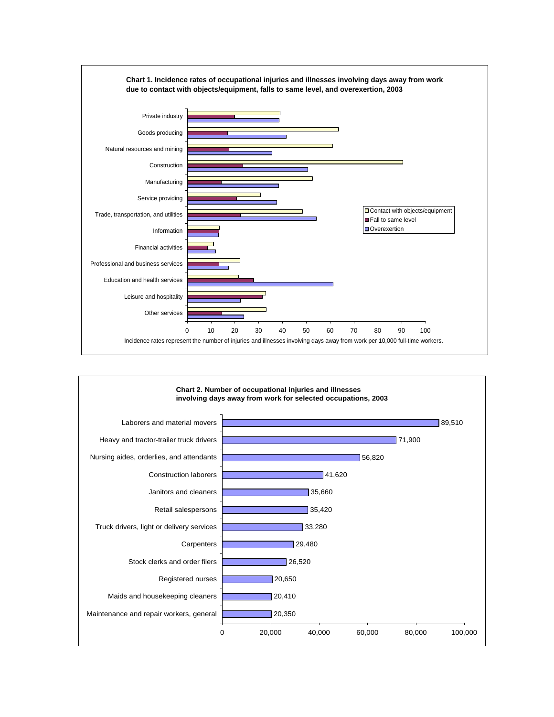

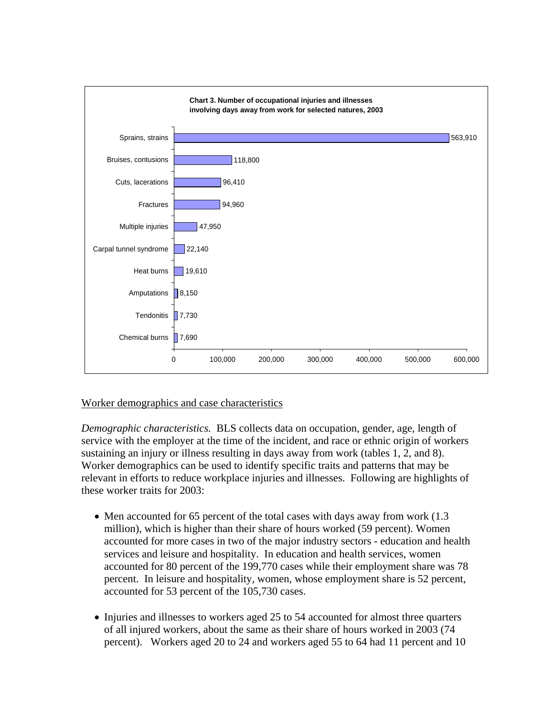

# Worker demographics and case characteristics

*Demographic characteristics.* BLS collects data on occupation, gender, age, length of service with the employer at the time of the incident, and race or ethnic origin of workers sustaining an injury or illness resulting in days away from work (tables 1, 2, and 8). Worker demographics can be used to identify specific traits and patterns that may be relevant in efforts to reduce workplace injuries and illnesses. Following are highlights of these worker traits for 2003:

- Men accounted for 65 percent of the total cases with days away from work (1.3) million), which is higher than their share of hours worked (59 percent). Women accounted for more cases in two of the major industry sectors - education and health services and leisure and hospitality. In education and health services, women accounted for 80 percent of the 199,770 cases while their employment share was 78 percent. In leisure and hospitality, women, whose employment share is 52 percent, accounted for 53 percent of the 105,730 cases.
- Injuries and illnesses to workers aged 25 to 54 accounted for almost three quarters of all injured workers, about the same as their share of hours worked in 2003 (74 percent). Workers aged 20 to 24 and workers aged 55 to 64 had 11 percent and 10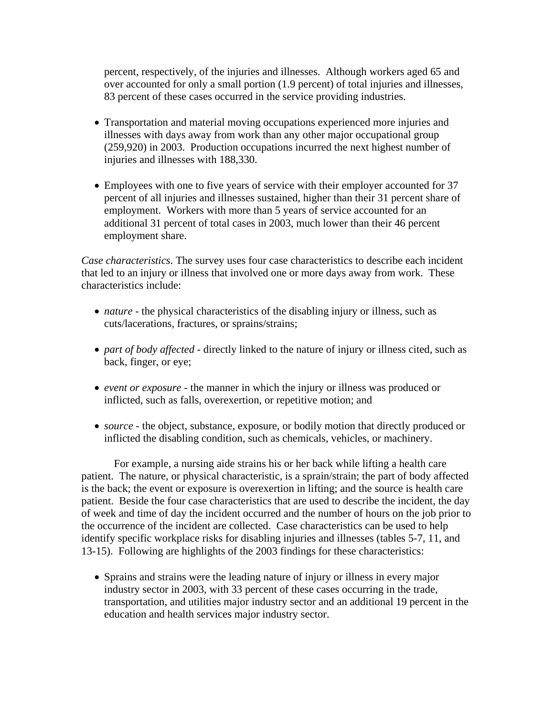percent, respectively, of the injuries and illnesses. Although workers aged 65 and over accounted for only a small portion (1.9 percent) of total injuries and illnesses, 83 percent of these cases occurred in the service providing industries.

- Transportation and material moving occupations experienced more injuries and illnesses with days away from work than any other major occupational group (259,920) in 2003. Production occupations incurred the next highest number of injuries and illnesses with 188,330.
- Employees with one to five years of service with their employer accounted for 37 percent of all injuries and illnesses sustained, higher than their 31 percent share of employment. Workers with more than 5 years of service accounted for an additional 31 percent of total cases in 2003, much lower than their 46 percent employment share.

*Case characteristics*. The survey uses four case characteristics to describe each incident that led to an injury or illness that involved one or more days away from work. These characteristics include:

- *nature* the physical characteristics of the disabling injury or illness, such as cuts/lacerations, fractures, or sprains/strains;
- *part of body affected* directly linked to the nature of injury or illness cited, such as back, finger, or eye;
- *event or exposure* the manner in which the injury or illness was produced or inflicted, such as falls, overexertion, or repetitive motion; and
- *source* the object, substance, exposure, or bodily motion that directly produced or inflicted the disabling condition, such as chemicals, vehicles, or machinery.

For example, a nursing aide strains his or her back while lifting a health care patient. The nature, or physical characteristic, is a sprain/strain; the part of body affected is the back; the event or exposure is overexertion in lifting; and the source is health care patient. Beside the four case characteristics that are used to describe the incident, the day of week and time of day the incident occurred and the number of hours on the job prior to the occurrence of the incident are collected. Case characteristics can be used to help identify specific workplace risks for disabling injuries and illnesses (tables 5-7, 11, and 13-15). Following are highlights of the 2003 findings for these characteristics:

• Sprains and strains were the leading nature of injury or illness in every major industry sector in 2003, with 33 percent of these cases occurring in the trade, transportation, and utilities major industry sector and an additional 19 percent in the education and health services major industry sector.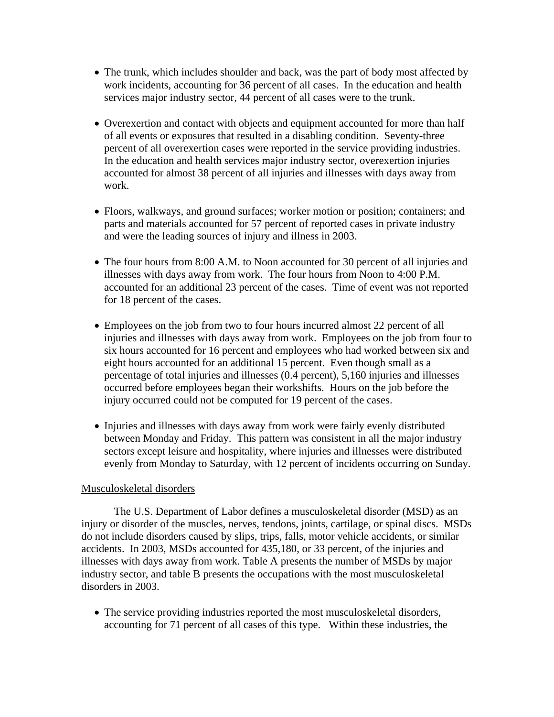- The trunk, which includes shoulder and back, was the part of body most affected by work incidents, accounting for 36 percent of all cases. In the education and health services major industry sector, 44 percent of all cases were to the trunk.
- Overexertion and contact with objects and equipment accounted for more than half of all events or exposures that resulted in a disabling condition. Seventy-three percent of all overexertion cases were reported in the service providing industries. In the education and health services major industry sector, overexertion injuries accounted for almost 38 percent of all injuries and illnesses with days away from work.
- Floors, walkways, and ground surfaces; worker motion or position; containers; and parts and materials accounted for 57 percent of reported cases in private industry and were the leading sources of injury and illness in 2003.
- The four hours from 8:00 A.M. to Noon accounted for 30 percent of all injuries and illnesses with days away from work. The four hours from Noon to 4:00 P.M. accounted for an additional 23 percent of the cases. Time of event was not reported for 18 percent of the cases.
- Employees on the job from two to four hours incurred almost 22 percent of all injuries and illnesses with days away from work. Employees on the job from four to six hours accounted for 16 percent and employees who had worked between six and eight hours accounted for an additional 15 percent. Even though small as a percentage of total injuries and illnesses (0.4 percent), 5,160 injuries and illnesses occurred before employees began their workshifts. Hours on the job before the injury occurred could not be computed for 19 percent of the cases.
- Injuries and illnesses with days away from work were fairly evenly distributed between Monday and Friday. This pattern was consistent in all the major industry sectors except leisure and hospitality, where injuries and illnesses were distributed evenly from Monday to Saturday, with 12 percent of incidents occurring on Sunday.

## Musculoskeletal disorders

The U.S. Department of Labor defines a musculoskeletal disorder (MSD) as an injury or disorder of the muscles, nerves, tendons, joints, cartilage, or spinal discs. MSDs do not include disorders caused by slips, trips, falls, motor vehicle accidents, or similar accidents. In 2003, MSDs accounted for 435,180, or 33 percent, of the injuries and illnesses with days away from work. Table A presents the number of MSDs by major industry sector, and table B presents the occupations with the most musculoskeletal disorders in 2003.

• The service providing industries reported the most musculoskeletal disorders, accounting for 71 percent of all cases of this type. Within these industries, the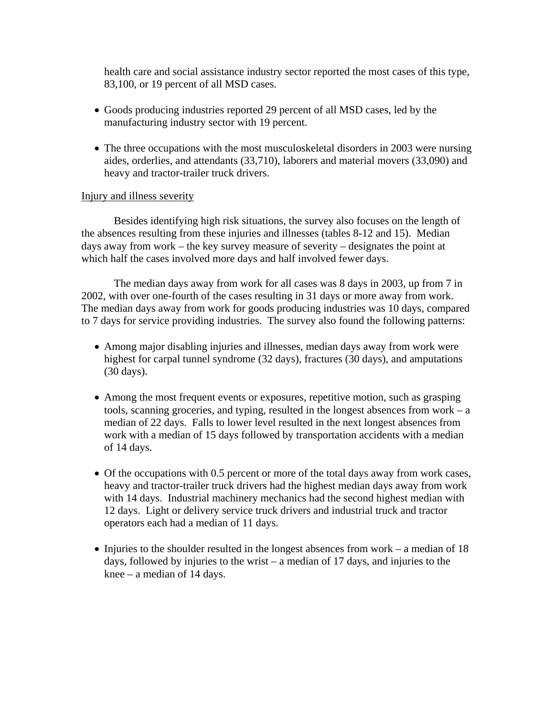health care and social assistance industry sector reported the most cases of this type, 83,100, or 19 percent of all MSD cases.

- Goods producing industries reported 29 percent of all MSD cases, led by the manufacturing industry sector with 19 percent.
- The three occupations with the most musculoskeletal disorders in 2003 were nursing aides, orderlies, and attendants (33,710), laborers and material movers (33,090) and heavy and tractor-trailer truck drivers.

## Injury and illness severity

Besides identifying high risk situations, the survey also focuses on the length of the absences resulting from these injuries and illnesses (tables 8-12 and 15). Median days away from work – the key survey measure of severity – designates the point at which half the cases involved more days and half involved fewer days.

The median days away from work for all cases was 8 days in 2003, up from 7 in 2002, with over one-fourth of the cases resulting in 31 days or more away from work. The median days away from work for goods producing industries was 10 days, compared to 7 days for service providing industries. The survey also found the following patterns:

- Among major disabling injuries and illnesses, median days away from work were highest for carpal tunnel syndrome (32 days), fractures (30 days), and amputations (30 days).
- Among the most frequent events or exposures, repetitive motion, such as grasping tools, scanning groceries, and typing, resulted in the longest absences from work – a median of 22 days. Falls to lower level resulted in the next longest absences from work with a median of 15 days followed by transportation accidents with a median of 14 days.
- Of the occupations with 0.5 percent or more of the total days away from work cases, heavy and tractor-trailer truck drivers had the highest median days away from work with 14 days. Industrial machinery mechanics had the second highest median with 12 days. Light or delivery service truck drivers and industrial truck and tractor operators each had a median of 11 days.
- Injuries to the shoulder resulted in the longest absences from work a median of 18 days, followed by injuries to the wrist – a median of 17 days, and injuries to the knee – a median of 14 days.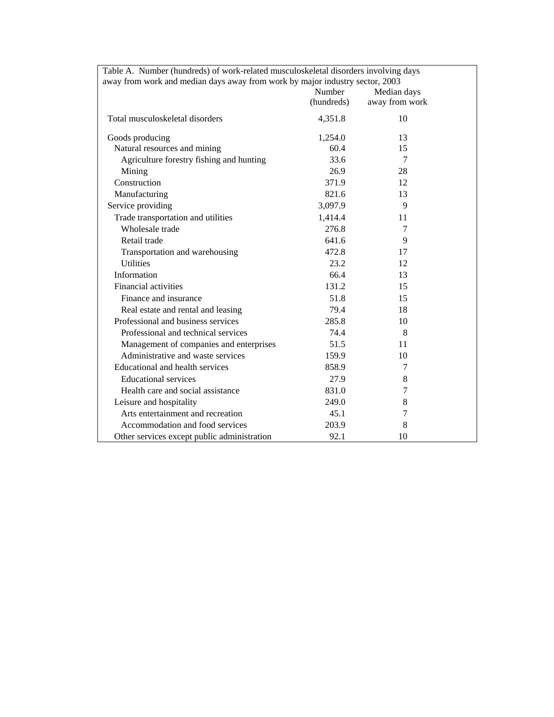| Table A. Number (hundreds) of work-related musculoskeletal disorders involving days |            |                |  |  |  |  |  |  |  |  |  |
|-------------------------------------------------------------------------------------|------------|----------------|--|--|--|--|--|--|--|--|--|
| away from work and median days away from work by major industry sector, 2003        |            |                |  |  |  |  |  |  |  |  |  |
|                                                                                     | Number     | Median days    |  |  |  |  |  |  |  |  |  |
|                                                                                     | (hundreds) | away from work |  |  |  |  |  |  |  |  |  |
| Total musculoskeletal disorders                                                     | 4,351.8    | 10             |  |  |  |  |  |  |  |  |  |
| Goods producing                                                                     | 1,254.0    | 13             |  |  |  |  |  |  |  |  |  |
| Natural resources and mining                                                        | 60.4       | 15             |  |  |  |  |  |  |  |  |  |
| Agriculture forestry fishing and hunting                                            | 33.6       | 7              |  |  |  |  |  |  |  |  |  |
| Mining                                                                              | 26.9       | 28             |  |  |  |  |  |  |  |  |  |
| Construction                                                                        | 371.9      | 12             |  |  |  |  |  |  |  |  |  |
| Manufacturing                                                                       | 821.6      | 13             |  |  |  |  |  |  |  |  |  |
| Service providing                                                                   | 3,097.9    | 9              |  |  |  |  |  |  |  |  |  |
| Trade transportation and utilities                                                  | 1,414.4    | 11             |  |  |  |  |  |  |  |  |  |
| Wholesale trade                                                                     | 276.8      | 7              |  |  |  |  |  |  |  |  |  |
| Retail trade                                                                        | 641.6      | 9              |  |  |  |  |  |  |  |  |  |
| Transportation and warehousing                                                      | 472.8      | 17             |  |  |  |  |  |  |  |  |  |
| <b>Utilities</b>                                                                    | 23.2       | 12             |  |  |  |  |  |  |  |  |  |
| Information                                                                         | 66.4       | 13             |  |  |  |  |  |  |  |  |  |
| Financial activities                                                                | 131.2      | 15             |  |  |  |  |  |  |  |  |  |
| Finance and insurance                                                               | 51.8       | 15             |  |  |  |  |  |  |  |  |  |
| Real estate and rental and leasing                                                  | 79.4       | 18             |  |  |  |  |  |  |  |  |  |
| Professional and business services                                                  | 285.8      | 10             |  |  |  |  |  |  |  |  |  |
| Professional and technical services                                                 | 74.4       | 8              |  |  |  |  |  |  |  |  |  |
| Management of companies and enterprises                                             | 51.5       | 11             |  |  |  |  |  |  |  |  |  |
| Administrative and waste services                                                   | 159.9      | 10             |  |  |  |  |  |  |  |  |  |
| Educational and health services                                                     | 858.9      | 7              |  |  |  |  |  |  |  |  |  |
| <b>Educational services</b>                                                         | 27.9       | 8              |  |  |  |  |  |  |  |  |  |
| Health care and social assistance                                                   | 831.0      | 7              |  |  |  |  |  |  |  |  |  |
| Leisure and hospitality                                                             | 249.0      | 8              |  |  |  |  |  |  |  |  |  |
| Arts entertainment and recreation                                                   | 45.1       | 7              |  |  |  |  |  |  |  |  |  |
| Accommodation and food services                                                     | 203.9      | 8              |  |  |  |  |  |  |  |  |  |
| Other services except public administration                                         | 92.1       | 10             |  |  |  |  |  |  |  |  |  |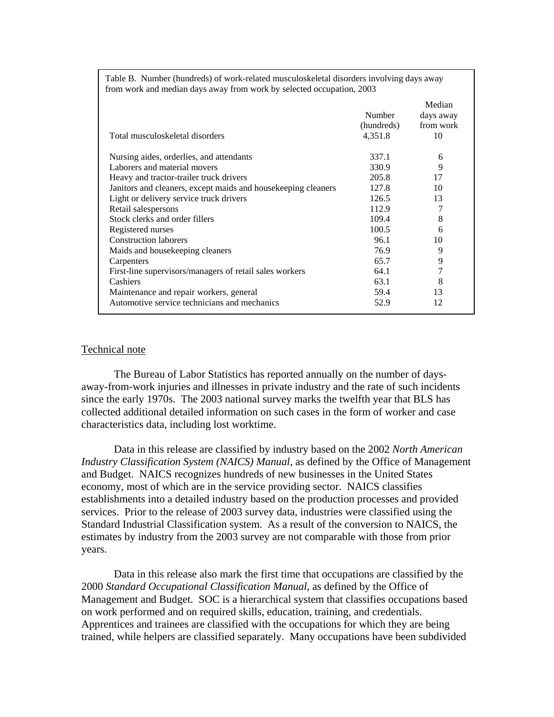| Total musculoskeletal disorders                                | Number<br>(hundreds)<br>4,351.8 | Median<br>days away<br>from work<br>10 |
|----------------------------------------------------------------|---------------------------------|----------------------------------------|
| Nursing aides, orderlies, and attendants                       | 337.1                           | 6                                      |
| Laborers and material movers                                   | 330.9                           | 9                                      |
| Heavy and tractor-trailer truck drivers                        | 205.8                           | 17                                     |
| Janitors and cleaners, except maids and house keeping cleaners | 127.8                           | 10                                     |
| Light or delivery service truck drivers                        | 126.5                           | 13                                     |
| Retail salespersons                                            | 112.9                           |                                        |
| Stock clerks and order fillers                                 | 109.4                           | 8                                      |
| Registered nurses                                              | 100.5                           | 6                                      |
| <b>Construction laborers</b>                                   | 96.1                            | 10                                     |
| Maids and housekeeping cleaners                                | 76.9                            | 9                                      |
| Carpenters                                                     | 65.7                            | 9                                      |
| First-line supervisors/managers of retail sales workers        | 64.1                            | 7                                      |
| Cashiers                                                       | 63.1                            | 8                                      |
| Maintenance and repair workers, general                        | 59.4                            | 13                                     |
| Automotive service technicians and mechanics                   | 52.9                            | 12                                     |

Table B. Number (hundreds) of work-related musculoskeletal disorders involving days away from work and median days away from work by selected occupation, 2003

## Technical note

The Bureau of Labor Statistics has reported annually on the number of daysaway-from-work injuries and illnesses in private industry and the rate of such incidents since the early 1970s. The 2003 national survey marks the twelfth year that BLS has collected additional detailed information on such cases in the form of worker and case characteristics data, including lost worktime.

Data in this release are classified by industry based on the 2002 *North American Industry Classification System (NAICS) Manual*, as defined by the Office of Management and Budget. NAICS recognizes hundreds of new businesses in the United States economy, most of which are in the service providing sector. NAICS classifies establishments into a detailed industry based on the production processes and provided services. Prior to the release of 2003 survey data, industries were classified using the Standard Industrial Classification system. As a result of the conversion to NAICS, the estimates by industry from the 2003 survey are not comparable with those from prior years.

Data in this release also mark the first time that occupations are classified by the 2000 *Standard Occupational Classification Manual*, as defined by the Office of Management and Budget. SOC is a hierarchical system that classifies occupations based on work performed and on required skills, education, training, and credentials. Apprentices and trainees are classified with the occupations for which they are being trained, while helpers are classified separately. Many occupations have been subdivided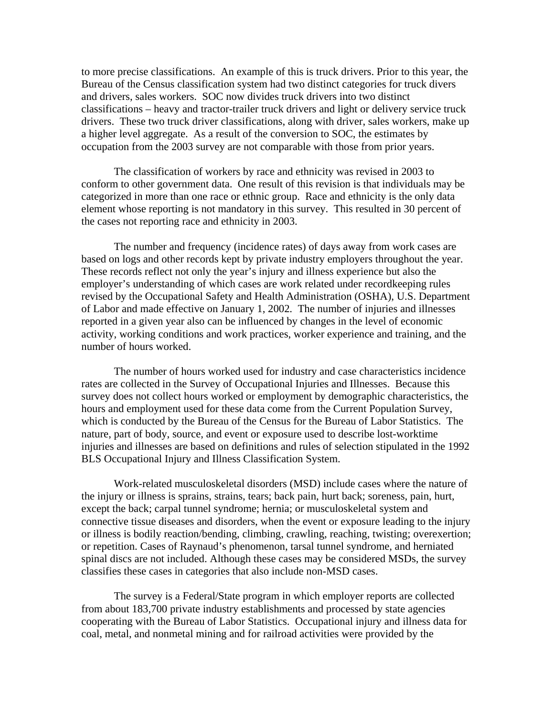to more precise classifications. An example of this is truck drivers. Prior to this year, the Bureau of the Census classification system had two distinct categories for truck divers and drivers, sales workers. SOC now divides truck drivers into two distinct classifications – heavy and tractor-trailer truck drivers and light or delivery service truck drivers. These two truck driver classifications, along with driver, sales workers, make up a higher level aggregate. As a result of the conversion to SOC, the estimates by occupation from the 2003 survey are not comparable with those from prior years.

The classification of workers by race and ethnicity was revised in 2003 to conform to other government data. One result of this revision is that individuals may be categorized in more than one race or ethnic group. Race and ethnicity is the only data element whose reporting is not mandatory in this survey. This resulted in 30 percent of the cases not reporting race and ethnicity in 2003.

The number and frequency (incidence rates) of days away from work cases are based on logs and other records kept by private industry employers throughout the year. These records reflect not only the year's injury and illness experience but also the employer's understanding of which cases are work related under recordkeeping rules revised by the Occupational Safety and Health Administration (OSHA), U.S. Department of Labor and made effective on January 1, 2002. The number of injuries and illnesses reported in a given year also can be influenced by changes in the level of economic activity, working conditions and work practices, worker experience and training, and the number of hours worked.

The number of hours worked used for industry and case characteristics incidence rates are collected in the Survey of Occupational Injuries and Illnesses. Because this survey does not collect hours worked or employment by demographic characteristics, the hours and employment used for these data come from the Current Population Survey, which is conducted by the Bureau of the Census for the Bureau of Labor Statistics. The nature, part of body, source, and event or exposure used to describe lost-worktime injuries and illnesses are based on definitions and rules of selection stipulated in the 1992 BLS Occupational Injury and Illness Classification System.

Work-related musculoskeletal disorders (MSD) include cases where the nature of the injury or illness is sprains, strains, tears; back pain, hurt back; soreness, pain, hurt, except the back; carpal tunnel syndrome; hernia; or musculoskeletal system and connective tissue diseases and disorders, when the event or exposure leading to the injury or illness is bodily reaction/bending, climbing, crawling, reaching, twisting; overexertion; or repetition. Cases of Raynaud's phenomenon, tarsal tunnel syndrome, and herniated spinal discs are not included. Although these cases may be considered MSDs, the survey classifies these cases in categories that also include non-MSD cases.

The survey is a Federal/State program in which employer reports are collected from about 183,700 private industry establishments and processed by state agencies cooperating with the Bureau of Labor Statistics. Occupational injury and illness data for coal, metal, and nonmetal mining and for railroad activities were provided by the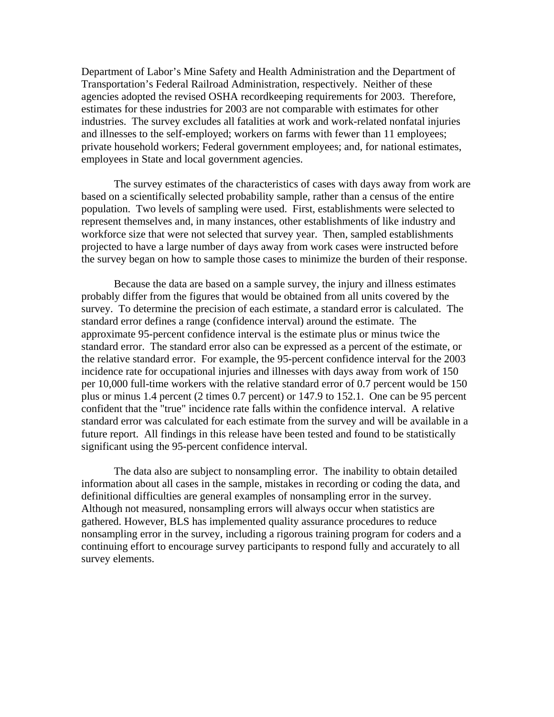Department of Labor's Mine Safety and Health Administration and the Department of Transportation's Federal Railroad Administration, respectively. Neither of these agencies adopted the revised OSHA recordkeeping requirements for 2003. Therefore, estimates for these industries for 2003 are not comparable with estimates for other industries. The survey excludes all fatalities at work and work-related nonfatal injuries and illnesses to the self-employed; workers on farms with fewer than 11 employees; private household workers; Federal government employees; and, for national estimates, employees in State and local government agencies.

The survey estimates of the characteristics of cases with days away from work are based on a scientifically selected probability sample, rather than a census of the entire population. Two levels of sampling were used. First, establishments were selected to represent themselves and, in many instances, other establishments of like industry and workforce size that were not selected that survey year. Then, sampled establishments projected to have a large number of days away from work cases were instructed before the survey began on how to sample those cases to minimize the burden of their response.

Because the data are based on a sample survey, the injury and illness estimates probably differ from the figures that would be obtained from all units covered by the survey. To determine the precision of each estimate, a standard error is calculated. The standard error defines a range (confidence interval) around the estimate. The approximate 95-percent confidence interval is the estimate plus or minus twice the standard error. The standard error also can be expressed as a percent of the estimate, or the relative standard error. For example, the 95-percent confidence interval for the 2003 incidence rate for occupational injuries and illnesses with days away from work of 150 per 10,000 full-time workers with the relative standard error of 0.7 percent would be 150 plus or minus 1.4 percent (2 times 0.7 percent) or 147.9 to 152.1. One can be 95 percent confident that the "true" incidence rate falls within the confidence interval. A relative standard error was calculated for each estimate from the survey and will be available in a future report. All findings in this release have been tested and found to be statistically significant using the 95-percent confidence interval.

The data also are subject to nonsampling error. The inability to obtain detailed information about all cases in the sample, mistakes in recording or coding the data, and definitional difficulties are general examples of nonsampling error in the survey. Although not measured, nonsampling errors will always occur when statistics are gathered. However, BLS has implemented quality assurance procedures to reduce nonsampling error in the survey, including a rigorous training program for coders and a continuing effort to encourage survey participants to respond fully and accurately to all survey elements.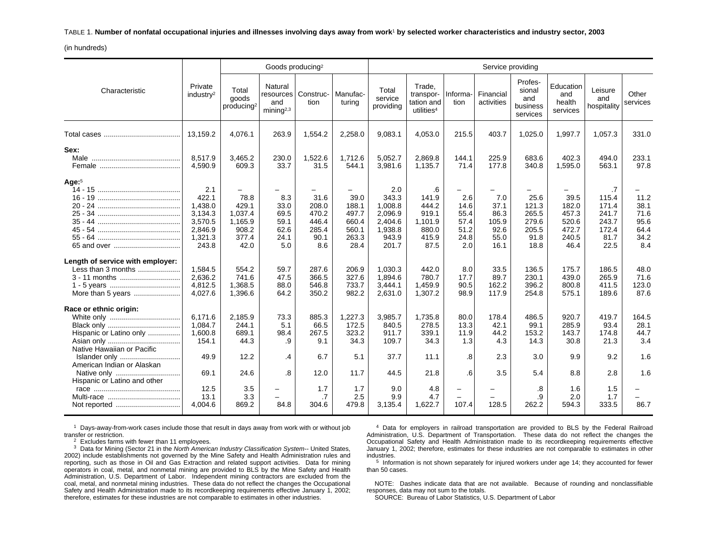#### TABLE 1. **Number of nonfatal occupational injuries and illnesses involving days away from work**1 **by selected worker characteristics and industry sector, 2003**

(in hundreds)

|                                                                                              |                                                                              |                                                                                           | Goods producing <sup>2</sup>                         |                                                         |                                                           |                                                                            |                                                                    |                                                                                | Service providing                                    |                                                          |                                                           |                                                                 |                                                     |
|----------------------------------------------------------------------------------------------|------------------------------------------------------------------------------|-------------------------------------------------------------------------------------------|------------------------------------------------------|---------------------------------------------------------|-----------------------------------------------------------|----------------------------------------------------------------------------|--------------------------------------------------------------------|--------------------------------------------------------------------------------|------------------------------------------------------|----------------------------------------------------------|-----------------------------------------------------------|-----------------------------------------------------------------|-----------------------------------------------------|
| Characteristic                                                                               | Private<br>industry <sup>2</sup>                                             | Total<br>goods<br>producing <sup>2</sup>                                                  | Natural<br>resources<br>and<br>minima <sup>2,3</sup> | Construc-<br>tion                                       | Manufac-<br>turing                                        | Total<br>service<br>providing                                              | Trade.<br>transpor-<br>tation and<br>utilities <sup>4</sup>        | Informa-<br>tion                                                               | Financial<br>activities                              | Profes-<br>sional<br>and<br>business<br>services         | Education<br>and<br>health<br>services                    | Leisure<br>and<br>hospitality                                   | Other<br>services                                   |
|                                                                                              | 13,159.2                                                                     | 4,076.1                                                                                   | 263.9                                                | 1,554.2                                                 | 2,258.0                                                   | 9,083.1                                                                    | 4,053.0                                                            | 215.5                                                                          | 403.7                                                | 1,025.0                                                  | 1,997.7                                                   | 1,057.3                                                         | 331.0                                               |
| Sex:                                                                                         | 8,517.9<br>4,590.9                                                           | 3,465.2<br>609.3                                                                          | 230.0<br>33.7                                        | 1,522.6<br>31.5                                         | 1,712.6<br>544.1                                          | 5,052.7<br>3,981.6                                                         | 2,869.8<br>1,135.7                                                 | 144.1<br>71.4                                                                  | 225.9<br>177.8                                       | 683.6<br>340.8                                           | 402.3<br>1,595.0                                          | 494.0<br>563.1                                                  | 233.1<br>97.8                                       |
| Age: $5$                                                                                     | 2.1<br>422.1<br>1,438.0<br>3,134.3<br>3,570.5<br>2.846.9<br>1,321.3<br>243.8 | $\overline{\phantom{0}}$<br>78.8<br>429.1<br>1,037.4<br>1,165.9<br>908.2<br>377.4<br>42.0 | 8.3<br>33.0<br>69.5<br>59.1<br>62.6<br>24.1<br>5.0   | 31.6<br>208.0<br>470.2<br>446.4<br>285.4<br>90.1<br>8.6 | 39.0<br>188.1<br>497.7<br>660.4<br>560.1<br>263.3<br>28.4 | 2.0<br>343.3<br>1,008.8<br>2,096.9<br>2,404.6<br>1,938.8<br>943.9<br>201.7 | .6<br>141.9<br>444.2<br>919.1<br>1,101.9<br>880.0<br>415.9<br>87.5 | $\overline{\phantom{0}}$<br>2.6<br>14.6<br>55.4<br>57.4<br>51.2<br>24.8<br>2.0 | 7.0<br>37.1<br>86.3<br>105.9<br>92.6<br>55.0<br>16.1 | 25.6<br>121.3<br>265.5<br>279.6<br>205.5<br>91.8<br>18.8 | 39.5<br>182.0<br>457.3<br>520.6<br>472.7<br>240.5<br>46.4 | .7<br>115.4<br>171.4<br>241.7<br>243.7<br>172.4<br>81.7<br>22.5 | 11.2<br>38.1<br>71.6<br>95.6<br>64.4<br>34.2<br>8.4 |
| Length of service with employer:<br>Less than 3 months<br>3 - 11 months<br>More than 5 years | 1,584.5<br>2.636.2<br>4,812.5<br>4,027.6                                     | 554.2<br>741.6<br>1,368.5<br>1,396.6                                                      | 59.7<br>47.5<br>88.0<br>64.2                         | 287.6<br>366.5<br>546.8<br>350.2                        | 206.9<br>327.6<br>733.7<br>982.2                          | 1,030.3<br>1.894.6<br>3,444.1<br>2,631.0                                   | 442.0<br>780.7<br>1,459.9<br>1,307.2                               | 8.0<br>17.7<br>90.5<br>98.9                                                    | 33.5<br>89.7<br>162.2<br>117.9                       | 136.5<br>230.1<br>396.2<br>254.8                         | 175.7<br>439.0<br>800.8<br>575.1                          | 186.5<br>265.9<br>411.5<br>189.6                                | 48.0<br>71.6<br>123.0<br>87.6                       |
| Race or ethnic origin:<br>Hispanic or Latino only<br>Native Hawaiian or Pacific              | 6.171.6<br>1.084.7<br>1.600.8<br>154.1                                       | 2,185.9<br>244.1<br>689.1<br>44.3                                                         | 73.3<br>5.1<br>98.4<br>.9                            | 885.3<br>66.5<br>267.5<br>9.1                           | 1,227.3<br>172.5<br>323.2<br>34.3                         | 3,985.7<br>840.5<br>911.7<br>109.7                                         | 1,735.8<br>278.5<br>339.1<br>34.3                                  | 80.0<br>13.3<br>11.9<br>1.3                                                    | 178.4<br>42.1<br>44.2<br>4.3                         | 486.5<br>99.1<br>153.2<br>14.3                           | 920.7<br>285.9<br>143.7<br>30.8                           | 419.7<br>93.4<br>174.8<br>21.3                                  | 164.5<br>28.1<br>44.7<br>3.4                        |
| Islander only<br>American Indian or Alaskan<br>Native only                                   | 49.9<br>69.1                                                                 | 12.2<br>24.6                                                                              | .4<br>.8                                             | 6.7<br>12.0                                             | 5.1<br>11.7                                               | 37.7<br>44.5                                                               | 11.1<br>21.8                                                       | .8<br>6.6                                                                      | 2.3<br>3.5                                           | 3.0<br>5.4                                               | 9.9<br>8.8                                                | 9.2<br>2.8                                                      | 1.6<br>1.6                                          |
| Hispanic or Latino and other<br>Not reported                                                 | 12.5<br>13.1<br>4,004.6                                                      | 3.5<br>3.3<br>869.2                                                                       | -<br>84.8                                            | 1.7<br>$\cdot$ 7<br>304.6                               | 1.7<br>2.5<br>479.8                                       | 9.0<br>9.9<br>3,135.4                                                      | 4.8<br>4.7<br>1,622.7                                              | -<br>107.4                                                                     | 128.5                                                | .8<br>.9<br>262.2                                        | 1.6<br>2.0<br>594.3                                       | 1.5<br>1.7<br>333.5                                             | 86.7                                                |

 $1$  Days-away-from-work cases include those that result in days away from work with or without job transfer or restriction.

 $2$  Excludes farms with fewer than 11 employees.

 $3$  Data for Mining (Sector 21 in the North American Industry Classification System-- United States, 2002) include establishments not governed by the Mine Safety and Health Administration rules and reporting, such as those in Oil and Gas Extraction and related support activities. Data for mining operators in coal, metal, and nonmetal mining are provided to BLS by the Mine Safety and Health Administration, U.S. Department of Labor. Independent mining contractors are excluded from the coal, metal, and nonmetal mining industries. These data do not reflect the changes the Occupational Safety and Health Administration made to its recordkeeping requirements effective January 1, 2002; therefore, estimates for these industries are not comparable to estimates in other industries.

4 Data for employers in railroad transportation are provided to BLS by the Federal Railroad Administration, U.S. Department of Transportation. These data do not reflect the changes the Occupational Safety and Health Administration made to its recordkeeping requirements effective January 1, 2002; therefore, estimates for these industries are not comparable to estimates in other industries.

 $5$  Information is not shown separately for injured workers under age 14; they accounted for fewer than 50 cases.

NOTE: Dashes indicate data that are not available. Because of rounding and nonclassifiable responses, data may not sum to the totals.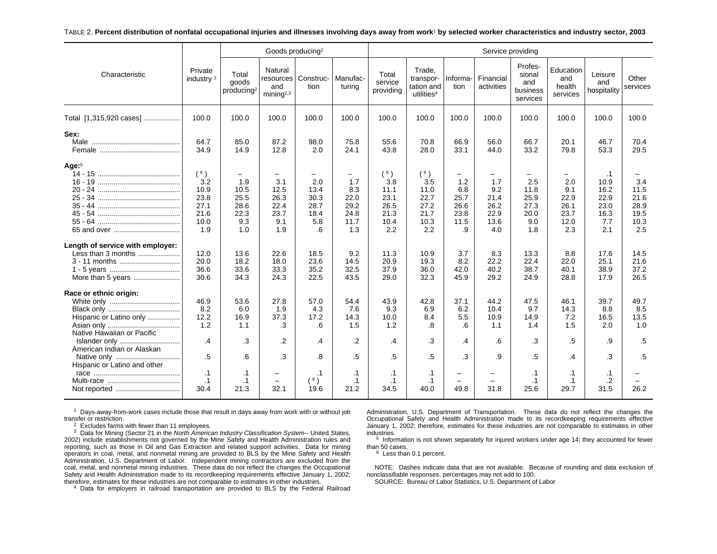#### TABLE 2. **Percent distribution of nonfatal occupational injuries and illnesses involving days away from work**1 **by selected worker characteristics and industry sector, 2003**

|                                                                                              |                                                           |                                                        |                                                       | Goods producing <sup>2</sup>                     |                                                                        |                                                           |                                                             |                                                                       |                                                        | Service providing                                 |                                                        |                                                                 |                                                    |
|----------------------------------------------------------------------------------------------|-----------------------------------------------------------|--------------------------------------------------------|-------------------------------------------------------|--------------------------------------------------|------------------------------------------------------------------------|-----------------------------------------------------------|-------------------------------------------------------------|-----------------------------------------------------------------------|--------------------------------------------------------|---------------------------------------------------|--------------------------------------------------------|-----------------------------------------------------------------|----------------------------------------------------|
| Characteristic                                                                               | Private<br>industry <sup>2</sup>                          | Total<br>goods<br>producing <sup>2</sup>               | Natural<br>resources<br>and<br>minin a <sup>2,3</sup> | Construc-<br>tion                                | Manufac-<br>turina                                                     | Total<br>service<br>providing                             | Trade.<br>transpor-<br>tation and<br>utilities <sup>4</sup> | Informa-<br>tion                                                      | Financial<br>activities                                | Profes-<br>sional<br>and<br>business<br>services  | Education<br>and<br>health<br>services                 | Leisure<br>and<br>hospitality                                   | Other<br>services                                  |
| Total [1,315,920 cases]                                                                      | 100.0                                                     | 100.0                                                  | 100.0                                                 | 100.0                                            | 100.0                                                                  | 100.0                                                     | 100.0                                                       | 100.0                                                                 | 100.0                                                  | 100.0                                             | 100.0                                                  | 100.0                                                           | 100.0                                              |
| Sex:<br>Male                                                                                 | 64.7<br>34.9                                              | 85.0<br>14.9                                           | 87.2<br>12.8                                          | 98.0<br>2.0                                      | 75.8<br>24.1                                                           | 55.6<br>43.8                                              | 70.8<br>28.0                                                | 66.9<br>33.1                                                          | 56.0<br>44.0                                           | 66.7<br>33.2                                      | 20.1<br>79.8                                           | 46.7<br>53.3                                                    | 70.4<br>29.5                                       |
| Age: $5$                                                                                     | (6)<br>3.2<br>10.9<br>23.8<br>27.1<br>21.6<br>10.0<br>1.9 | -<br>1.9<br>10.5<br>25.5<br>28.6<br>22.3<br>9.3<br>1.0 | 3.1<br>12.5<br>26.3<br>22.4<br>23.7<br>9.1<br>1.9     | 2.0<br>13.4<br>30.3<br>28.7<br>18.4<br>5.8<br>.6 | $\qquad \qquad -$<br>1.7<br>8.3<br>22.0<br>29.2<br>24.8<br>11.7<br>1.3 | (6)<br>3.8<br>11.1<br>23.1<br>26.5<br>21.3<br>10.4<br>2.2 | (6)<br>3.5<br>11.0<br>22.7<br>27.2<br>21.7<br>10.3<br>2.2   | $\qquad \qquad -$<br>1.2<br>6.8<br>25.7<br>26.6<br>23.8<br>11.5<br>.9 | -<br>1.7<br>9.2<br>21.4<br>26.2<br>22.9<br>13.6<br>4.0 | 2.5<br>11.8<br>25.9<br>27.3<br>20.0<br>9.0<br>1.8 | -<br>2.0<br>9.1<br>22.9<br>26.1<br>23.7<br>12.0<br>2.3 | $\cdot$ 1<br>10.9<br>16.2<br>22.9<br>23.0<br>16.3<br>7.7<br>2.1 | 3.4<br>11.5<br>21.6<br>28.9<br>19.5<br>10.3<br>2.5 |
| Length of service with employer:<br>Less than 3 months<br>3 - 11 months<br>More than 5 years | 12.0<br>20.0<br>36.6<br>30.6                              | 13.6<br>18.2<br>33.6<br>34.3                           | 22.6<br>18.0<br>33.3<br>24.3                          | 18.5<br>23.6<br>35.2<br>22.5                     | 9.2<br>14.5<br>32.5<br>43.5                                            | 11.3<br>20.9<br>37.9<br>29.0                              | 10.9<br>19.3<br>36.0<br>32.3                                | 3.7<br>8.2<br>42.0<br>45.9                                            | 8.3<br>22.2<br>40.2<br>29.2                            | 13.3<br>22.4<br>38.7<br>24.9                      | 8.8<br>22.0<br>40.1<br>28.8                            | 17.6<br>25.1<br>38.9<br>17.9                                    | 14.5<br>21.6<br>37.2<br>26.5                       |
| Race or ethnic origin:<br>Hispanic or Latino only<br>Native Hawaiian or Pacific              | 46.9<br>8.2<br>12.2<br>1.2                                | 53.6<br>6.0<br>16.9<br>1.1                             | 27.8<br>1.9<br>37.3<br>.3                             | 57.0<br>4.3<br>17.2<br>.6                        | 54.4<br>7.6<br>14.3<br>1.5                                             | 43.9<br>9.3<br>10.0<br>1.2                                | 42.8<br>6.9<br>8.4<br>.8                                    | 37.1<br>6.2<br>5.5<br>.6                                              | 44.2<br>10.4<br>10.9<br>1.1                            | 47.5<br>9.7<br>14.9<br>1.4                        | 46.1<br>14.3<br>7.2<br>1.5                             | 39.7<br>8.8<br>16.5<br>2.0                                      | 49.7<br>8.5<br>13.5<br>1.0                         |
| Islander only<br>American Indian or Alaskan<br>Native only                                   | .4<br>.5                                                  | .3<br>6.6                                              | .2<br>.3                                              | .4<br>8.                                         | $\cdot$<br>.5                                                          | .4<br>.5                                                  | .3<br>.5                                                    | .4<br>.3                                                              | .6<br>.9                                               | .3<br>.5                                          | .5<br>$\cdot$                                          | .9<br>.3                                                        | .5<br>.5                                           |
| Hispanic or Latino and other                                                                 | $\cdot$ 1<br>$\cdot$ 1<br>30.4                            | .1<br>$\cdot$ 1<br>21.3                                | $\equiv$<br>32.1                                      | $\cdot$ 1<br>(6)<br>19.6                         | $\cdot$ 1<br>$\cdot$ 1<br>21.2                                         | $\cdot$ 1<br>$\cdot$ 1<br>34.5                            | $\cdot$ 1<br>$\cdot$ 1<br>40.0                              | $\overline{\phantom{0}}$<br>-<br>49.8                                 | $\equiv$<br>31.8                                       | .1<br>.1<br>25.6                                  | $\cdot$ 1<br>.1<br>29.7                                | $\cdot$ 1<br>.2<br>31.5                                         | 26.2                                               |

 $1$  Days-away-from-work cases include those that result in days away from work with or without job transfer or restriction.

 $2$  Excludes farms with fewer than 11 employees.

 $3$  Data for Mining (Sector 21 in the North American Industry Classification System-- United States, 2002) include establishments not governed by the Mine Safety and Health Administration rules and reporting, such as those in Oil and Gas Extraction and related support activities. Data for mining operators in coal, metal, and nonmetal mining are provided to BLS by the Mine Safety and Health Administration, U.S. Department of Labor. Independent mining contractors are excluded from the coal, metal, and nonmetal mining industries. These data do not reflect the changes the Occupational Safety and Health Administration made to its recordkeeping requirements effective January 1, 2002; therefore, estimates for these industries are not comparable to estimates in other industries.

<sup>4</sup> Data for employers in railroad transportation are provided to BLS by the Federal Railroad

Administration, U.S. Department of Transportation. These data do not reflect the changes the Occupational Safety and Health Administration made to its recordkeeping requirements effective January 1, 2002; therefore, estimates for these industries are not comparable to estimates in other industries.

 $5$  Information is not shown separately for injured workers under age 14; they accounted for fewer than 50 cases.

<sup>6</sup> Less than 0.1 percent.

NOTE: Dashes indicate data that are not available. Because of rounding and data exclusion of nonclassifiable responses, percentages may not add to 100.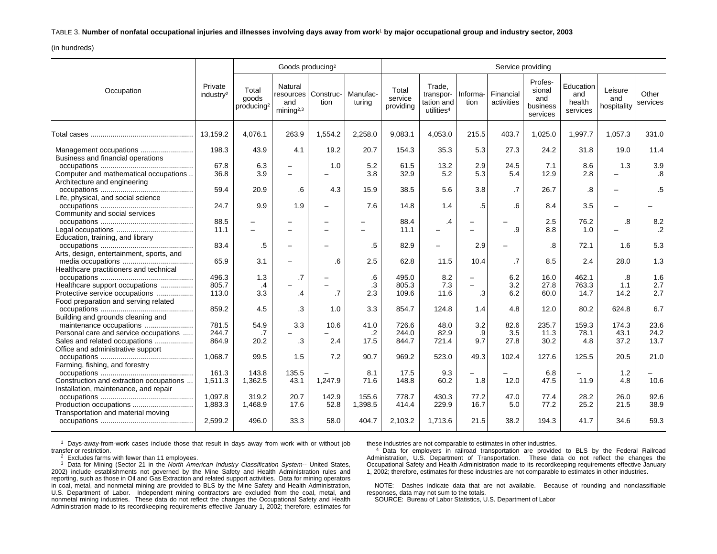#### TABLE 3. **Number of nonfatal occupational injuries and illnesses involving days away from work**1 **by major occupational group and industry sector, 2003**

(in hundreds)

|                                                                                  |                                  |                                          | Goods producing <sup>2</sup>                          |                   |                    |                               |                                                             |                          |                          | Service providing                                |                                        |                                 |                        |
|----------------------------------------------------------------------------------|----------------------------------|------------------------------------------|-------------------------------------------------------|-------------------|--------------------|-------------------------------|-------------------------------------------------------------|--------------------------|--------------------------|--------------------------------------------------|----------------------------------------|---------------------------------|------------------------|
| Occupation                                                                       | Private<br>industry <sup>2</sup> | Total<br>goods<br>producing <sup>2</sup> | Natural<br>resources<br>and<br>minin a <sup>2,3</sup> | Construc-<br>tion | Manufac-<br>turing | Total<br>service<br>providing | Trade.<br>transpor-<br>tation and<br>utilities <sup>4</sup> | Informa-<br>tion         | Financial<br>activities  | Profes-<br>sional<br>and<br>business<br>services | Education<br>and<br>health<br>services | Leisure<br>and<br>hospitality   | Other<br>services      |
|                                                                                  | 13.159.2                         | 4.076.1                                  | 263.9                                                 | 1,554.2           | 2,258.0            | 9,083.1                       | 4,053.0                                                     | 215.5                    | 403.7                    | 1,025.0                                          | 1.997.7                                | 1.057.3                         | 331.0                  |
| Business and financial operations                                                | 198.3                            | 43.9                                     | 4.1                                                   | 19.2              | 20.7               | 154.3                         | 35.3                                                        | 5.3                      | 27.3                     | 24.2                                             | 31.8                                   | 19.0                            | 11.4                   |
| Computer and mathematical occupations<br>Architecture and engineering            | 67.8<br>36.8                     | 6.3<br>3.9                               | $\equiv$<br>$\equiv$                                  | 1.0               | 5.2<br>3.8         | 61.5<br>32.9                  | 13.2<br>5.2                                                 | 2.9<br>5.3               | 24.5<br>5.4              | 7.1<br>12.9                                      | 8.6<br>2.8                             | 1.3<br>$\overline{\phantom{m}}$ | 3.9<br>.8              |
| Life, physical, and social science                                               | 59.4                             | 20.9                                     | .6                                                    | 4.3               | 15.9               | 38.5                          | 5.6                                                         | 3.8                      | .7                       | 26.7                                             | .8                                     |                                 | .5                     |
| Community and social services                                                    | 24.7                             | 9.9                                      | 1.9                                                   | -                 | 7.6                | 14.8                          | 1.4                                                         | .5                       | .6                       | 8.4                                              | 3.5                                    |                                 |                        |
| Education, training, and library                                                 | 88.5<br>11.1                     |                                          |                                                       | -<br>-            |                    | 88.4<br>11.1                  | .4<br>-                                                     |                          | .9                       | 2.5<br>8.8                                       | 76.2<br>1.0                            | .8<br>$\overline{\phantom{0}}$  | 8.2<br>$.2\phantom{0}$ |
| Arts, design, entertainment, sports, and                                         | 83.4                             | .5                                       |                                                       |                   | .5                 | 82.9                          | -                                                           | 2.9                      |                          | .8                                               | 72.1                                   | 1.6                             | 5.3                    |
| Healthcare practitioners and technical                                           | 65.9                             | 3.1                                      |                                                       | .6                | 2.5                | 62.8                          | 11.5                                                        | 10.4                     | .7                       | 8.5                                              | 2.4                                    | 28.0                            | 1.3                    |
| Healthcare support occupations                                                   | 496.3<br>805.7                   | 1.3<br>.4                                | $\cdot$ 7                                             |                   | .6<br>.3           | 495.0<br>805.3                | 8.2<br>7.3                                                  | $\equiv$                 | 6.2<br>3.2               | 16.0<br>27.8                                     | 462.1<br>763.3                         | .8<br>1.1                       | 1.6<br>2.7             |
| Protective service occupations<br>Food preparation and serving related           | 113.0<br>859.2                   | 3.3<br>4.5                               | .4<br>.3                                              | .7<br>1.0         | 2.3<br>3.3         | 109.6<br>854.7                | 11.6<br>124.8                                               | .3<br>1.4                | 6.2<br>4.8               | 60.0<br>12.0                                     | 14.7<br>80.2                           | 14.2<br>624.8                   | 2.7<br>6.7             |
| Building and grounds cleaning and                                                | 781.5                            | 54.9                                     | 3.3                                                   | 10.6              | 41.0               | 726.6                         | 48.0                                                        | 3.2                      | 82.6                     | 235.7                                            | 159.3                                  | 174.3                           | 23.6                   |
| Personal care and service occupations<br>Sales and related occupations           | 244.7<br>864.9                   | .7<br>20.2                               | .3                                                    | 2.4               | $\cdot$<br>17.5    | 244.0<br>844.7                | 82.9<br>721.4                                               | .9<br>9.7                | 3.5<br>27.8              | 11.3<br>30.2                                     | 78.1<br>4.8                            | 43.1<br>37.2                    | 24.2<br>13.7           |
| Office and administrative support                                                | 1,068.7                          | 99.5                                     | 1.5                                                   | 7.2               | 90.7               | 969.2                         | 523.0                                                       | 49.3                     | 102.4                    | 127.6                                            | 125.5                                  | 20.5                            | 21.0                   |
| Farming, fishing, and forestry                                                   | 161.3                            | 143.8                                    | 135.5                                                 |                   | 8.1                | 17.5                          | 9.3                                                         | $\overline{\phantom{0}}$ | $\overline{\phantom{0}}$ | 6.8                                              |                                        | 1.2                             |                        |
| Construction and extraction occupations<br>Installation, maintenance, and repair | 1,511.3                          | 1,362.5                                  | 43.1                                                  | 1.247.9           | 71.6               | 148.8                         | 60.2                                                        | 1.8                      | 12.0                     | 47.5                                             | 11.9                                   | 4.8                             | 10.6                   |
| Production occupations<br>Transportation and material moving                     | 1,097.8<br>1,883.3               | 319.2<br>1,468.9                         | 20.7<br>17.6                                          | 142.9<br>52.8     | 155.6<br>1,398.5   | 778.7<br>414.4                | 430.3<br>229.9                                              | 77.2<br>16.7             | 47.0<br>5.0              | 77.4<br>77.2                                     | 28.2<br>25.2                           | 26.0<br>21.5                    | 92.6<br>38.9           |
|                                                                                  | 2,599.2                          | 496.0                                    | 33.3                                                  | 58.0              | 404.7              | 2,103.2                       | 1,713.6                                                     | 21.5                     | 38.2                     | 194.3                                            | 41.7                                   | 34.6                            | 59.3                   |

1 Days-away-from-work cases include those that result in days away from work with or without job transfer or restriction.

 $2$  Excludes farms with fewer than 11 employees.

 $3$  Data for Mining (Sector 21 in the North American Industry Classification System-- United States, 2002) include establishments not governed by the Mine Safety and Health Administration rules and reporting, such as those in Oil and Gas Extraction and related support activities. Data for mining operators in coal, metal, and nonmetal mining are provided to BLS by the Mine Safety and Health Administration, U.S. Department of Labor. Independent mining contractors are excluded from the coal, metal, and nonmetal mining industries. These data do not reflect the changes the Occupational Safety and Health Administration made to its recordkeeping requirements effective January 1, 2002; therefore, estimates for these industries are not comparable to estimates in other industries.

<sup>4</sup> Data for employers in railroad transportation are provided to BLS by the Federal Railroad Administration, U.S. Department of Transportation. These data do not reflect the changes the Occupational Safety and Health Administration made to its recordkeeping requirements effective January 1, 2002; therefore, estimates for these industries are not comparable to estimates in other industries.

NOTE: Dashes indicate data that are not available. Because of rounding and nonclassifiable responses, data may not sum to the totals.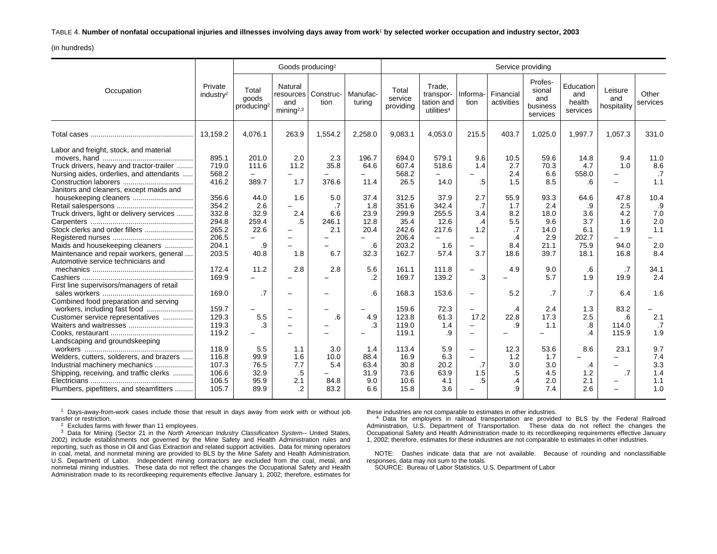TABLE 4. **Number of nonfatal occupational injuries and illnesses involving days away from work**1 **by selected worker occupation and industry sector, 2003**

(in hundreds)

|                                                                                                                                                                                                                                                                                                                                                                                                                                                                                                                                                                          |                                                                                                                                                                         |                                                                                                          | Goods producing <sup>2</sup>                                                                                 |                                                                              |                                                                                                                 |                                                                                                                                                                       |                                                                                                                                                                                                  |                                                                                                                                                                                        |                                                                                                                     | Service providing                                                                                                                 |                                                                                                                                     |                                                                                                                                                        |                                                                                                                          |
|--------------------------------------------------------------------------------------------------------------------------------------------------------------------------------------------------------------------------------------------------------------------------------------------------------------------------------------------------------------------------------------------------------------------------------------------------------------------------------------------------------------------------------------------------------------------------|-------------------------------------------------------------------------------------------------------------------------------------------------------------------------|----------------------------------------------------------------------------------------------------------|--------------------------------------------------------------------------------------------------------------|------------------------------------------------------------------------------|-----------------------------------------------------------------------------------------------------------------|-----------------------------------------------------------------------------------------------------------------------------------------------------------------------|--------------------------------------------------------------------------------------------------------------------------------------------------------------------------------------------------|----------------------------------------------------------------------------------------------------------------------------------------------------------------------------------------|---------------------------------------------------------------------------------------------------------------------|-----------------------------------------------------------------------------------------------------------------------------------|-------------------------------------------------------------------------------------------------------------------------------------|--------------------------------------------------------------------------------------------------------------------------------------------------------|--------------------------------------------------------------------------------------------------------------------------|
| Occupation                                                                                                                                                                                                                                                                                                                                                                                                                                                                                                                                                               | Private<br>industry <sup>2</sup>                                                                                                                                        | Total<br>goods<br>producing <sup>2</sup>                                                                 | Natural<br>resources<br>and<br>$min$ ing <sup>2,3</sup>                                                      | Construc-<br>tion                                                            | Manufac-<br>turing                                                                                              | Total<br>service<br>providing                                                                                                                                         | Trade,<br>transpor-<br>tation and<br>utilities <sup>4</sup>                                                                                                                                      | Informa-<br>tion                                                                                                                                                                       | Financial<br>activities                                                                                             | Profes-<br>sional<br>and<br>business<br>services                                                                                  | Education<br>and<br>health<br>services                                                                                              | Leisure<br>and<br>hospitality                                                                                                                          | Other<br>services                                                                                                        |
|                                                                                                                                                                                                                                                                                                                                                                                                                                                                                                                                                                          | 13.159.2                                                                                                                                                                | 4,076.1                                                                                                  | 263.9                                                                                                        | 1,554.2                                                                      | 2,258.0                                                                                                         | 9,083.1                                                                                                                                                               | 4,053.0                                                                                                                                                                                          | 215.5                                                                                                                                                                                  | 403.7                                                                                                               | 1,025.0                                                                                                                           | 1.997.7                                                                                                                             | 1,057.3                                                                                                                                                | 331.0                                                                                                                    |
| Labor and freight, stock, and material<br>Truck drivers, heavy and tractor-trailer<br>Nursing aides, orderlies, and attendants<br>Janitors and cleaners, except maids and<br>Truck drivers, light or delivery services<br>Stock clerks and order fillers<br>Maids and housekeeping cleaners<br>Maintenance and repair workers, general<br>Automotive service technicians and<br>First line supervisors/managers of retail<br>Combined food preparation and serving<br>workers, including fast food<br>Customer service representatives<br>Landscaping and groundskeeping | 895.1<br>719.0<br>568.2<br>416.2<br>356.6<br>354.2<br>332.8<br>294.8<br>265.2<br>206.5<br>204.1<br>203.5<br>172.4<br>169.9<br>169.0<br>159.7<br>129.3<br>119.3<br>119.2 | 201.0<br>111.6<br>389.7<br>44.0<br>2.6<br>32.9<br>259.4<br>22.6<br>.9<br>40.8<br>11.2<br>.7<br>5.5<br>.3 | 2.0<br>11.2<br>$\overline{\phantom{0}}$<br>1.7<br>1.6<br>$\overline{\phantom{0}}$<br>2.4<br>.5<br>1.8<br>2.8 | 2.3<br>35.8<br>376.6<br>5.0<br>.7<br>6.6<br>246.1<br>2.1<br>6.7<br>2.8<br>.6 | 196.7<br>64.6<br>11.4<br>37.4<br>1.8<br>23.9<br>12.8<br>20.4<br>.6<br>32.3<br>5.6<br>$\cdot$<br>.6<br>4.9<br>.3 | 694.0<br>607.4<br>568.2<br>26.5<br>312.5<br>351.6<br>299.9<br>35.4<br>242.6<br>206.4<br>203.2<br>162.7<br>161.1<br>169.7<br>168.3<br>159.6<br>123.8<br>119.0<br>119.1 | 579.1<br>518.6<br>$\overline{\phantom{0}}$<br>14.0<br>37.9<br>342.4<br>255.5<br>12.6<br>217.6<br>$\overline{\phantom{0}}$<br>1.6<br>57.4<br>111.8<br>139.2<br>153.6<br>72.3<br>61.3<br>1.4<br>.9 | 9.6<br>1.4<br>.5<br>2.7<br>.7<br>3.4<br>.4<br>1.2<br>3.7<br>$\overline{\phantom{0}}$<br>.3<br>$\overline{\phantom{0}}$<br>$\overline{\phantom{0}}$<br>17.2<br>$\overline{\phantom{0}}$ | 10.5<br>2.7<br>2.4<br>1.5<br>55.9<br>1.7<br>8.2<br>5.5<br>.7<br>.4<br>8.4<br>18.6<br>4.9<br>5.2<br>.4<br>22.8<br>.9 | 59.6<br>70.3<br>6.6<br>8.5<br>93.3<br>2.4<br>18.0<br>9.6<br>14.0<br>2.9<br>21.1<br>39.7<br>9.0<br>5.7<br>.7<br>2.4<br>17.3<br>1.1 | 14.8<br>4.7<br>558.0<br>.6<br>64.6<br>.9<br>3.6<br>3.7<br>6.1<br>202.7<br>75.9<br>18.1<br>.6<br>1.9<br>.7<br>1.3<br>2.5<br>.8<br>.4 | 9.4<br>1.0<br>$\overline{\phantom{0}}$<br>47.8<br>2.5<br>4.2<br>1.6<br>1.9<br>94.0<br>16.8<br>$\cdot$ 7<br>19.9<br>6.4<br>83.2<br>.6<br>114.0<br>115.9 | 11.0<br>8.6<br>$\cdot$<br>1.1<br>10.4<br>.9<br>7.0<br>2.0<br>1.1<br>2.0<br>8.4<br>34.1<br>2.4<br>1.6<br>2.1<br>.7<br>1.9 |
| Welders, cutters, solderers, and brazers<br>Industrial machinery mechanics<br>Shipping, receiving, and traffic clerks<br>Plumbers, pipefitters, and steamfitters                                                                                                                                                                                                                                                                                                                                                                                                         | 118.9<br>116.8<br>107.3<br>106.6<br>106.5<br>105.7                                                                                                                      | 5.5<br>99.9<br>76.5<br>32.9<br>95.9<br>89.9                                                              | 1.1<br>1.6<br>7.7<br>.5<br>2.1<br>.2                                                                         | 3.0<br>10.0<br>5.4<br>84.8<br>83.2                                           | 1.4<br>88.4<br>63.4<br>31.9<br>9.0<br>6.6                                                                       | 113.4<br>16.9<br>30.8<br>73.6<br>10.6<br>15.8                                                                                                                         | 5.9<br>6.3<br>20.2<br>63.9<br>4.1<br>3.6                                                                                                                                                         | $\overline{\phantom{0}}$<br>$\equiv$<br>.7<br>1.5<br>.5                                                                                                                                | 12.3<br>1.2<br>3.0<br>$.5\,$<br>$\cdot$<br>.9                                                                       | 53.6<br>1.7<br>3.0<br>4.5<br>2.0<br>7.4                                                                                           | 8.6<br>.4<br>1.2<br>2.1<br>2.6                                                                                                      | 23.1<br>$\cdot$ 7                                                                                                                                      | 9.7<br>7.4<br>3.3<br>1.4<br>1.1<br>1.0                                                                                   |

1 Days-away-from-work cases include those that result in days away from work with or without job transfer or restriction.

 $2$  Excludes farms with fewer than 11 employees.

<sup>3</sup> Data for Mining (Sector 21 in the North American Industry Classification System-- United States, 2002) include establishments not governed by the Mine Safety and Health Administration rules and reporting, such as those in Oil and Gas Extraction and related support activities. Data for mining operators in coal, metal, and nonmetal mining are provided to BLS by the Mine Safety and Health Administration, U.S. Department of Labor. Independent mining contractors are excluded from the coal, metal, and nonmetal mining industries. These data do not reflect the changes the Occupational Safety and Health Administration made to its recordkeeping requirements effective January 1, 2002; therefore, estimates for these industries are not comparable to estimates in other industries.

4 Data for employers in railroad transportation are provided to BLS by the Federal Railroad Administration, U.S. Department of Transportation. These data do not reflect the changes the Occupational Safety and Health Administration made to its recordkeeping requirements effective January 1, 2002; therefore, estimates for these industries are not comparable to estimates in other industries.

NOTE: Dashes indicate data that are not available. Because of rounding and nonclassifiable responses, data may not sum to the totals.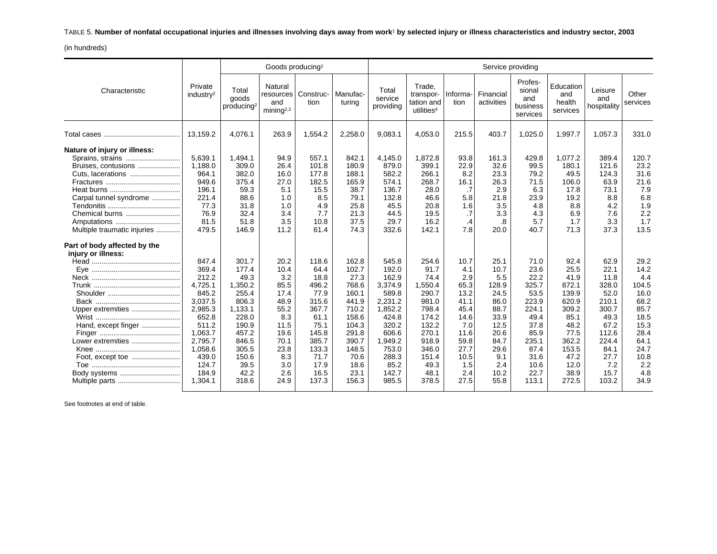TABLE 5. **Number of nonfatal occupational injuries and illnesses involving days away from work**1 **by selected injury or illness characteristics and industry sector, 2003**

(in hundreds)

|                                                                                                                                                                                        |                                                                                                                                                   |                                                                                                                                      | Goods producing <sup>2</sup>                                                                                    |                                                                                                                             |                                                                                                                                 |                                                                                                                                            |                                                                                                                                   |                                                                                                                 |                                                                                                                    | Service providing                                                                                                         |                                                                                                                             |                                                                                                                           |                                                                                                                    |
|----------------------------------------------------------------------------------------------------------------------------------------------------------------------------------------|---------------------------------------------------------------------------------------------------------------------------------------------------|--------------------------------------------------------------------------------------------------------------------------------------|-----------------------------------------------------------------------------------------------------------------|-----------------------------------------------------------------------------------------------------------------------------|---------------------------------------------------------------------------------------------------------------------------------|--------------------------------------------------------------------------------------------------------------------------------------------|-----------------------------------------------------------------------------------------------------------------------------------|-----------------------------------------------------------------------------------------------------------------|--------------------------------------------------------------------------------------------------------------------|---------------------------------------------------------------------------------------------------------------------------|-----------------------------------------------------------------------------------------------------------------------------|---------------------------------------------------------------------------------------------------------------------------|--------------------------------------------------------------------------------------------------------------------|
| Characteristic                                                                                                                                                                         | Private<br>industry <sup>2</sup>                                                                                                                  | Total<br>goods<br>producing <sup>2</sup>                                                                                             | Natural<br>resources<br>and<br>$min$ ing <sup>2,3</sup>                                                         | Construc-<br>tion                                                                                                           | Manufac-<br>turing                                                                                                              | Total<br>service<br>providing                                                                                                              | Trade.<br>transpor-<br>tation and<br>utilities <sup>4</sup>                                                                       | Informa-<br>tion                                                                                                | Financial<br>activities                                                                                            | Profes-<br>sional<br>and<br>business<br>services                                                                          | Education<br>and<br>health<br>services                                                                                      | Leisure<br>and<br>hospitality                                                                                             | Other<br>services                                                                                                  |
|                                                                                                                                                                                        | 13,159.2                                                                                                                                          | 4,076.1                                                                                                                              | 263.9                                                                                                           | 1,554.2                                                                                                                     | 2,258.0                                                                                                                         | 9,083.1                                                                                                                                    | 4,053.0                                                                                                                           | 215.5                                                                                                           | 403.7                                                                                                              | 1,025.0                                                                                                                   | 1,997.7                                                                                                                     | 1,057.3                                                                                                                   | 331.0                                                                                                              |
| Nature of injury or illness:<br>Sprains, strains<br>Bruises, contusions<br>Cuts, lacerations<br>Carpal tunnel syndrome<br>Chemical burns<br>Amputations<br>Multiple traumatic injuries | 5,639.1<br>1,188.0<br>964.1<br>949.6<br>196.1<br>221.4<br>77.3<br>76.9<br>81.5<br>479.5                                                           | 1,494.1<br>309.0<br>382.0<br>375.4<br>59.3<br>88.6<br>31.8<br>32.4<br>51.8<br>146.9                                                  | 94.9<br>26.4<br>16.0<br>27.0<br>5.1<br>1.0<br>1.0<br>3.4<br>3.5<br>11.2                                         | 557.1<br>101.8<br>177.8<br>182.5<br>15.5<br>8.5<br>4.9<br>7.7<br>10.8<br>61.4                                               | 842.1<br>180.9<br>188.1<br>165.9<br>38.7<br>79.1<br>25.8<br>21.3<br>37.5<br>74.3                                                | 4,145.0<br>879.0<br>582.2<br>574.1<br>136.7<br>132.8<br>45.5<br>44.5<br>29.7<br>332.6                                                      | 1,872.8<br>399.1<br>266.1<br>268.7<br>28.0<br>46.6<br>20.8<br>19.5<br>16.2<br>142.1                                               | 93.8<br>22.9<br>8.2<br>16.1<br>.7<br>5.8<br>1.6<br>.7<br>$\cdot$<br>7.8                                         | 161.3<br>32.6<br>23.3<br>26.3<br>2.9<br>21.8<br>3.5<br>3.3<br>.8<br>20.0                                           | 429.8<br>99.5<br>79.2<br>71.5<br>6.3<br>23.9<br>4.8<br>4.3<br>5.7<br>40.7                                                 | 1,077.2<br>180.1<br>49.5<br>106.0<br>17.8<br>19.2<br>8.8<br>6.9<br>1.7<br>71.3                                              | 389.4<br>121.6<br>124.3<br>63.9<br>73.1<br>8.8<br>4.2<br>7.6<br>3.3<br>37.3                                               | 120.7<br>23.2<br>31.6<br>21.6<br>7.9<br>6.8<br>1.9<br>2.2<br>1.7<br>13.5                                           |
| Part of body affected by the<br>injury or illness:                                                                                                                                     | 847.4                                                                                                                                             | 301.7                                                                                                                                | 20.2                                                                                                            | 118.6                                                                                                                       | 162.8                                                                                                                           | 545.8                                                                                                                                      | 254.6                                                                                                                             | 10.7                                                                                                            | 25.1                                                                                                               | 71.0                                                                                                                      | 92.4                                                                                                                        | 62.9                                                                                                                      | 29.2                                                                                                               |
| Eve<br>Upper extremities<br>Hand, except finger<br>Lower extremities<br>Foot, except toe<br>Body systems                                                                               | 369.4<br>212.2<br>4,725.1<br>845.2<br>3,037.5<br>2,985.3<br>652.8<br>511.2<br>1,063.7<br>2,795.7<br>1,058.6<br>439.0<br>124.7<br>184.9<br>1,304.1 | 177.4<br>49.3<br>1,350.2<br>255.4<br>806.3<br>1,133.1<br>228.0<br>190.9<br>457.2<br>846.5<br>305.5<br>150.6<br>39.5<br>42.2<br>318.6 | 10.4<br>3.2<br>85.5<br>17.4<br>48.9<br>55.2<br>8.3<br>11.5<br>19.6<br>70.1<br>23.8<br>8.3<br>3.0<br>2.6<br>24.9 | 64.4<br>18.8<br>496.2<br>77.9<br>315.6<br>367.7<br>61.1<br>75.1<br>145.8<br>385.7<br>133.3<br>71.7<br>17.9<br>16.5<br>137.3 | 102.7<br>27.3<br>768.6<br>160.1<br>441.9<br>710.2<br>158.6<br>104.3<br>291.8<br>390.7<br>148.5<br>70.6<br>18.6<br>23.1<br>156.3 | 192.0<br>162.9<br>3,374.9<br>589.8<br>2,231.2<br>1,852.2<br>424.8<br>320.2<br>606.6<br>1,949.2<br>753.0<br>288.3<br>85.2<br>142.7<br>985.5 | 91.7<br>74.4<br>1,550.4<br>290.7<br>981.0<br>798.4<br>174.2<br>132.2<br>270.1<br>918.9<br>346.0<br>151.4<br>49.3<br>48.1<br>378.5 | 4.1<br>2.9<br>65.3<br>13.2<br>41.1<br>45.4<br>14.6<br>7.0<br>11.6<br>59.8<br>27.7<br>10.5<br>1.5<br>2.4<br>27.5 | 10.7<br>5.5<br>128.9<br>24.5<br>86.0<br>88.7<br>33.9<br>12.5<br>20.6<br>84.7<br>29.6<br>9.1<br>2.4<br>10.2<br>55.8 | 23.6<br>22.2<br>325.7<br>53.5<br>223.9<br>224.1<br>49.4<br>37.8<br>85.9<br>235.1<br>87.4<br>31.6<br>10.6<br>22.7<br>113.1 | 25.5<br>41.9<br>872.1<br>139.9<br>620.9<br>309.2<br>85.1<br>48.2<br>77.5<br>362.2<br>153.5<br>47.2<br>12.0<br>38.9<br>272.5 | 22.1<br>11.8<br>328.0<br>52.0<br>210.1<br>300.7<br>49.3<br>67.2<br>112.6<br>224.4<br>84.1<br>27.7<br>7.2<br>15.7<br>103.2 | 14.2<br>4.4<br>104.5<br>16.0<br>68.2<br>85.7<br>18.5<br>15.3<br>28.4<br>64.1<br>24.7<br>10.8<br>2.2<br>4.8<br>34.9 |

See footnotes at end of table.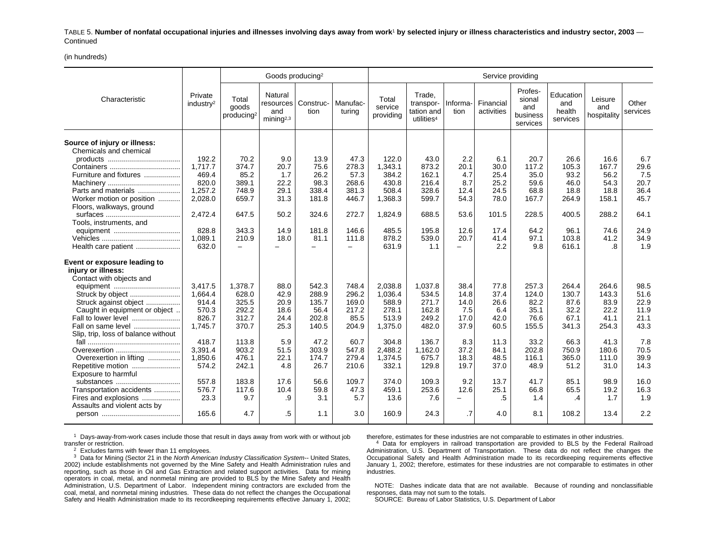TABLE 5. **Number of nonfatal occupational injuries and illnesses involving days away from work**1 **by selected injury or illness characteristics and industry sector, 2003** — **Continued** 

(in hundreds)

|                                                        |                                  |                                          | Goods producing <sup>2</sup>                         |                   |                    |                               |                                                             |                                  |                         | Service providing                                |                                        |                               |                   |
|--------------------------------------------------------|----------------------------------|------------------------------------------|------------------------------------------------------|-------------------|--------------------|-------------------------------|-------------------------------------------------------------|----------------------------------|-------------------------|--------------------------------------------------|----------------------------------------|-------------------------------|-------------------|
| Characteristic                                         | Private<br>industry <sup>2</sup> | Total<br>goods<br>producing <sup>2</sup> | Natural<br>resources<br>and<br>mining <sup>2,3</sup> | Construc-<br>tion | Manufac-<br>turina | Total<br>service<br>providing | Trade,<br>transpor-<br>tation and<br>utilities <sup>4</sup> | Informa-<br>tion                 | Financial<br>activities | Profes-<br>sional<br>and<br>business<br>services | Education<br>and<br>health<br>services | Leisure<br>and<br>hospitality | Other<br>services |
| Source of injury or illness:<br>Chemicals and chemical |                                  |                                          |                                                      |                   |                    |                               |                                                             |                                  |                         |                                                  |                                        |                               |                   |
|                                                        | 192.2                            | 70.2                                     | 9.0                                                  | 13.9              | 47.3               | 122.0                         | 43.0                                                        | 2.2                              | 6.1                     | 20.7                                             | 26.6                                   | 16.6                          | 6.7               |
|                                                        | 1.717.7                          | 374.7                                    | 20.7                                                 | 75.6              | 278.3              | 1,343.1                       | 873.2                                                       | 20.1                             | 30.0                    | 117.2                                            | 105.3                                  | 167.7                         | 29.6<br>7.5       |
| Furniture and fixtures                                 | 469.4<br>820.0                   | 85.2<br>389.1                            | 1.7<br>22.2                                          | 26.2<br>98.3      | 57.3<br>268.6      | 384.2<br>430.8                | 162.1<br>216.4                                              | 4.7<br>8.7                       | 25.4<br>25.2            | 35.0<br>59.6                                     | 93.2<br>46.0                           | 56.2<br>54.3                  | 20.7              |
| Parts and materials                                    | 1,257.2                          | 748.9                                    | 29.1                                                 | 338.4             | 381.3              | 508.4                         | 328.6                                                       | 12.4                             | 24.5                    | 68.8                                             | 18.8                                   | 18.8                          | 36.4              |
| Worker motion or position                              | 2,028.0                          | 659.7                                    | 31.3                                                 | 181.8             | 446.7              | 1,368.3                       | 599.7                                                       | 54.3                             | 78.0                    | 167.7                                            | 264.9                                  | 158.1                         | 45.7              |
| Floors, walkways, ground                               |                                  |                                          |                                                      |                   |                    |                               |                                                             |                                  |                         |                                                  |                                        |                               |                   |
|                                                        | 2.472.4                          | 647.5                                    | 50.2                                                 | 324.6             | 272.7              | 1,824.9                       | 688.5                                                       | 53.6                             | 101.5                   | 228.5                                            | 400.5                                  | 288.2                         | 64.1              |
| Tools, instruments, and                                |                                  |                                          |                                                      |                   |                    |                               |                                                             |                                  |                         |                                                  |                                        |                               |                   |
| equipment                                              | 828.8                            | 343.3                                    | 14.9                                                 | 181.8             | 146.6              | 485.5                         | 195.8                                                       | 12.6                             | 17.4                    | 64.2                                             | 96.1                                   | 74.6                          | 24.9              |
|                                                        | 1.089.1<br>632.0                 | 210.9<br>$\overline{\phantom{a}}$        | 18.0                                                 | 81.1              | 111.8              | 878.2<br>631.9                | 539.0<br>1.1                                                | 20.7<br>$\overline{\phantom{0}}$ | 41.4<br>2.2             | 97.1<br>9.8                                      | 103.8<br>616.1                         | 41.2<br>.8                    | 34.9<br>1.9       |
| Health care patient                                    |                                  |                                          |                                                      |                   |                    |                               |                                                             |                                  |                         |                                                  |                                        |                               |                   |
| Event or exposure leading to                           |                                  |                                          |                                                      |                   |                    |                               |                                                             |                                  |                         |                                                  |                                        |                               |                   |
| injury or illness:<br>Contact with objects and         |                                  |                                          |                                                      |                   |                    |                               |                                                             |                                  |                         |                                                  |                                        |                               |                   |
|                                                        | 3,417.5                          | 1,378.7                                  | 88.0                                                 | 542.3             | 748.4              | 2,038.8                       | 1,037.8                                                     | 38.4                             | 77.8                    | 257.3                                            | 264.4                                  | 264.6                         | 98.5              |
|                                                        | 1,664.4                          | 628.0                                    | 42.9                                                 | 288.9             | 296.2              | 1,036.4                       | 534.5                                                       | 14.8                             | 37.4                    | 124.0                                            | 130.7                                  | 143.3                         | 51.6              |
| Struck against object                                  | 914.4                            | 325.5                                    | 20.9                                                 | 135.7             | 169.0              | 588.9                         | 271.7                                                       | 14.0                             | 26.6                    | 82.2                                             | 87.6                                   | 83.9                          | 22.9              |
| Caught in equipment or object                          | 570.3                            | 292.2                                    | 18.6                                                 | 56.4              | 217.2              | 278.1                         | 162.8                                                       | 7.5                              | 6.4                     | 35.1                                             | 32.2                                   | 22.2                          | 11.9              |
| Fall to lower level                                    | 826.7                            | 312.7                                    | 24.4                                                 | 202.8             | 85.5               | 513.9                         | 249.2                                                       | 17.0                             | 42.0                    | 76.6                                             | 67.1                                   | 41.1                          | 21.1              |
| Fall on same level                                     | 1.745.7                          | 370.7                                    | 25.3                                                 | 140.5             | 204.9              | 1,375.0                       | 482.0                                                       | 37.9                             | 60.5                    | 155.5                                            | 341.3                                  | 254.3                         | 43.3              |
| Slip, trip, loss of balance without                    | 418.7                            | 113.8                                    | 5.9                                                  | 47.2              | 60.7               | 304.8                         | 136.7                                                       | 8.3                              | 11.3                    | 33.2                                             | 66.3                                   | 41.3                          | 7.8               |
| Overexertion                                           | 3,391.4                          | 903.2                                    | 51.5                                                 | 303.9             | 547.8              | 2,488.2                       | 1,162.0                                                     | 37.2                             | 84.1                    | 202.8                                            | 750.9                                  | 180.6                         | 70.5              |
| Overexertion in lifting                                | 1,850.6                          | 476.1                                    | 22.1                                                 | 174.7             | 279.4              | 1,374.5                       | 675.7                                                       | 18.3                             | 48.5                    | 116.1                                            | 365.0                                  | 111.0                         | 39.9              |
| Repetitive motion                                      | 574.2                            | 242.1                                    | 4.8                                                  | 26.7              | 210.6              | 332.1                         | 129.8                                                       | 19.7                             | 37.0                    | 48.9                                             | 51.2                                   | 31.0                          | 14.3              |
| Exposure to harmful                                    |                                  |                                          |                                                      |                   |                    |                               |                                                             |                                  |                         |                                                  |                                        |                               |                   |
| substances                                             | 557.8                            | 183.8                                    | 17.6                                                 | 56.6              | 109.7              | 374.0                         | 109.3                                                       | 9.2                              | 13.7                    | 41.7                                             | 85.1                                   | 98.9                          | 16.0              |
| Transportation accidents                               | 576.7                            | 117.6                                    | 10.4                                                 | 59.8              | 47.3               | 459.1                         | 253.6                                                       | 12.6                             | 25.1                    | 66.8                                             | 65.5                                   | 19.2                          | 16.3              |
| Fires and explosions                                   | 23.3                             | 9.7                                      | .9                                                   | 3.1               | 5.7                | 13.6                          | 7.6                                                         | -                                | .5                      | 1.4                                              | .4                                     | 1.7                           | 1.9               |
| Assaults and violent acts by                           |                                  |                                          |                                                      |                   |                    |                               |                                                             |                                  |                         |                                                  |                                        |                               |                   |
|                                                        | 165.6                            | 4.7                                      | .5                                                   | 1.1               | 3.0                | 160.9                         | 24.3                                                        | $\overline{.7}$                  | 4.0                     | 8.1                                              | 108.2                                  | 13.4                          | 2.2               |

 $1$  Days-away-from-work cases include those that result in days away from work with or without job transfer or restriction.

 $2$  Excludes farms with fewer than 11 employees.

 $3$  Data for Mining (Sector 21 in the North American Industry Classification System-- United States, 2002) include establishments not governed by the Mine Safety and Health Administration rules and reporting, such as those in Oil and Gas Extraction and related support activities. Data for mining operators in coal, metal, and nonmetal mining are provided to BLS by the Mine Safety and Health Administration, U.S. Department of Labor. Independent mining contractors are excluded from the coal, metal, and nonmetal mining industries. These data do not reflect the changes the Occupational Safety and Health Administration made to its recordkeeping requirements effective January 1, 2002; therefore, estimates for these industries are not comparable to estimates in other industries.

<sup>4</sup> Data for employers in railroad transportation are provided to BLS by the Federal Railroad Administration, U.S. Department of Transportation. These data do not reflect the changes the Occupational Safety and Health Administration made to its recordkeeping requirements effective January 1, 2002; therefore, estimates for these industries are not comparable to estimates in other industries.

NOTE: Dashes indicate data that are not available. Because of rounding and nonclassifiable responses, data may not sum to the totals.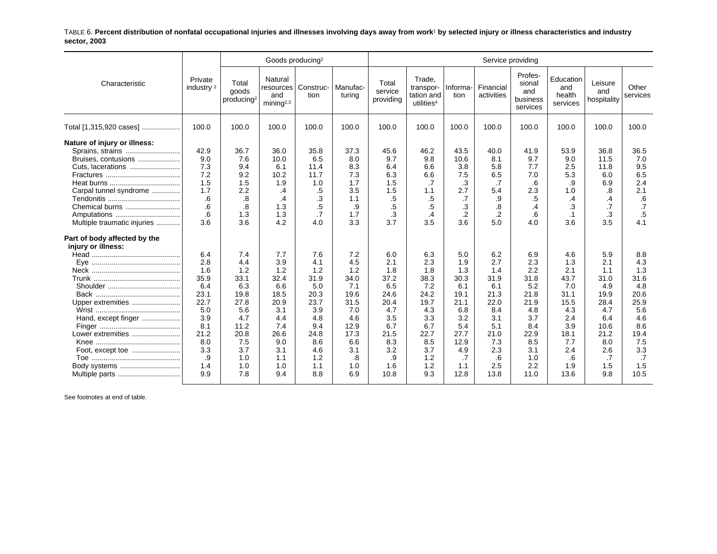TABLE 6. **Percent distribution of nonfatal occupational injuries and illnesses involving days away from work**1 **by selected injury or illness characteristics and industry sector, 2003**

|                                                                                                                                                                                        |                                                                                                                 |                                                                                                                   | Goods producing <sup>2</sup>                                                                                     |                                                                                                                  |                                                                                                                  |                                                                                                                  |                                                                                                                  |                                                                                                                   | Service providing                                                                                                |                                                                                                                   |                                                                                                                  |                                                                                                                       |                                                                                                                  |
|----------------------------------------------------------------------------------------------------------------------------------------------------------------------------------------|-----------------------------------------------------------------------------------------------------------------|-------------------------------------------------------------------------------------------------------------------|------------------------------------------------------------------------------------------------------------------|------------------------------------------------------------------------------------------------------------------|------------------------------------------------------------------------------------------------------------------|------------------------------------------------------------------------------------------------------------------|------------------------------------------------------------------------------------------------------------------|-------------------------------------------------------------------------------------------------------------------|------------------------------------------------------------------------------------------------------------------|-------------------------------------------------------------------------------------------------------------------|------------------------------------------------------------------------------------------------------------------|-----------------------------------------------------------------------------------------------------------------------|------------------------------------------------------------------------------------------------------------------|
| Characteristic                                                                                                                                                                         | Private<br>industry <sup>2</sup>                                                                                | Total<br>goods<br>producing <sup>2</sup>                                                                          | Natural<br>resources<br>and<br>mining $2,3$                                                                      | Construc-<br>tion                                                                                                | Manufac-<br>turing                                                                                               | Total<br>service<br>providing                                                                                    | Trade.<br>transpor-<br>tation and<br>utilities <sup>4</sup>                                                      | Informa-<br>tion                                                                                                  | Financial<br>activities                                                                                          | Profes-<br>sional<br>and<br>business<br>services                                                                  | Education<br>and<br>health<br>services                                                                           | Leisure<br>and<br>hospitality                                                                                         | Other<br>services                                                                                                |
| Total [1,315,920 cases]                                                                                                                                                                | 100.0                                                                                                           | 100.0                                                                                                             | 100.0                                                                                                            | 100.0                                                                                                            | 100.0                                                                                                            | 100.0                                                                                                            | 100.0                                                                                                            | 100.0                                                                                                             | 100.0                                                                                                            | 100.0                                                                                                             | 100.0                                                                                                            | 100.0                                                                                                                 | 100.0                                                                                                            |
| Nature of injury or illness:<br>Sprains, strains<br>Bruises, contusions<br>Cuts, lacerations<br>Carpal tunnel syndrome<br>Chemical burns<br>Amputations<br>Multiple traumatic injuries | 42.9<br>9.0<br>7.3<br>7.2<br>1.5<br>1.7<br>.6<br>.6<br>6.5<br>3.6                                               | 36.7<br>7.6<br>9.4<br>9.2<br>1.5<br>2.2<br>.8<br>.8<br>1.3<br>3.6                                                 | 36.0<br>10.0<br>6.1<br>10.2<br>1.9<br>$\cdot$<br>.4<br>1.3<br>1.3<br>4.2                                         | 35.8<br>6.5<br>11.4<br>11.7<br>1.0<br>.5<br>.3<br>$.5\,$<br>$\cdot$ 7<br>4.0                                     | 37.3<br>8.0<br>8.3<br>7.3<br>1.7<br>3.5<br>1.1<br>.9<br>1.7<br>3.3                                               | 45.6<br>9.7<br>6.4<br>6.3<br>1.5<br>1.5<br>.5<br>.5<br>.3<br>3.7                                                 | 46.2<br>9.8<br>6.6<br>6.6<br>.7<br>1.1<br>.5<br>.5<br>.4<br>3.5                                                  | 43.5<br>10.6<br>3.8<br>7.5<br>.3<br>2.7<br>.7<br>.3<br>.2<br>3.6                                                  | 40.0<br>8.1<br>5.8<br>6.5<br>.7<br>5.4<br>.9<br>.8<br>$\cdot$<br>5.0                                             | 41.9<br>9.7<br>7.7<br>7.0<br>.6<br>2.3<br>.5<br>.4<br>.6<br>4.0                                                   | 53.9<br>9.0<br>2.5<br>5.3<br>.9<br>1.0<br>$\cdot$<br>.3<br>$\cdot$ 1<br>3.6                                      | 36.8<br>11.5<br>11.8<br>6.0<br>6.9<br>.8<br>.4<br>.7<br>.3<br>3.5                                                     | 36.5<br>7.0<br>9.5<br>6.5<br>2.4<br>2.1<br>.6<br>.7<br>.5<br>4.1                                                 |
| Part of body affected by the<br>injury or illness:<br>Upper extremities<br>Hand, except finger<br>Lower extremities<br>Foot, except toe<br>Body systems<br>Multiple parts              | 6.4<br>2.8<br>1.6<br>35.9<br>6.4<br>23.1<br>22.7<br>5.0<br>3.9<br>8.1<br>21.2<br>8.0<br>3.3<br>.9<br>1.4<br>9.9 | 7.4<br>4.4<br>1.2<br>33.1<br>6.3<br>19.8<br>27.8<br>5.6<br>4.7<br>11.2<br>20.8<br>7.5<br>3.7<br>1.0<br>1.0<br>7.8 | 7.7<br>3.9<br>1.2<br>32.4<br>6.6<br>18.5<br>20.9<br>3.1<br>4.4<br>7.4<br>26.6<br>9.0<br>3.1<br>1.1<br>1.0<br>9.4 | 7.6<br>4.1<br>1.2<br>31.9<br>5.0<br>20.3<br>23.7<br>3.9<br>4.8<br>9.4<br>24.8<br>8.6<br>4.6<br>1.2<br>1.1<br>8.8 | 7.2<br>4.5<br>1.2<br>34.0<br>7.1<br>19.6<br>31.5<br>7.0<br>4.6<br>12.9<br>17.3<br>6.6<br>3.1<br>.8<br>1.0<br>6.9 | 6.0<br>2.1<br>1.8<br>37.2<br>6.5<br>24.6<br>20.4<br>4.7<br>3.5<br>6.7<br>21.5<br>8.3<br>3.2<br>.9<br>1.6<br>10.8 | 6.3<br>2.3<br>1.8<br>38.3<br>7.2<br>24.2<br>19.7<br>4.3<br>3.3<br>6.7<br>22.7<br>8.5<br>3.7<br>1.2<br>1.2<br>9.3 | 5.0<br>1.9<br>1.3<br>30.3<br>6.1<br>19.1<br>21.1<br>6.8<br>3.2<br>5.4<br>27.7<br>12.9<br>4.9<br>.7<br>1.1<br>12.8 | 6.2<br>2.7<br>1.4<br>31.9<br>6.1<br>21.3<br>22.0<br>8.4<br>3.1<br>5.1<br>21.0<br>7.3<br>2.3<br>.6<br>2.5<br>13.8 | 6.9<br>2.3<br>2.2<br>31.8<br>5.2<br>21.8<br>21.9<br>4.8<br>3.7<br>8.4<br>22.9<br>8.5<br>3.1<br>1.0<br>2.2<br>11.0 | 4.6<br>1.3<br>2.1<br>43.7<br>7.0<br>31.1<br>15.5<br>4.3<br>2.4<br>3.9<br>18.1<br>7.7<br>2.4<br>.6<br>1.9<br>13.6 | 5.9<br>2.1<br>1.1<br>31.0<br>4.9<br>19.9<br>28.4<br>4.7<br>6.4<br>10.6<br>21.2<br>8.0<br>2.6<br>$\cdot$<br>1.5<br>9.8 | 8.8<br>4.3<br>1.3<br>31.6<br>4.8<br>20.6<br>25.9<br>5.6<br>4.6<br>8.6<br>19.4<br>7.5<br>3.3<br>.7<br>1.5<br>10.5 |

See footnotes at end of table.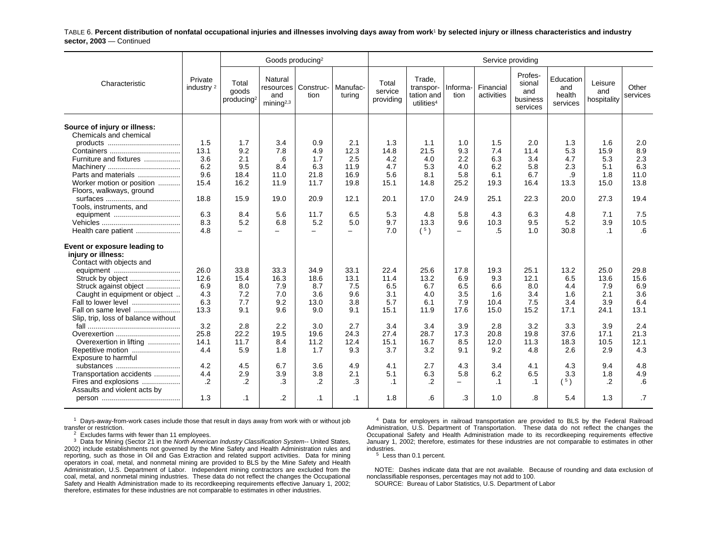TABLE 6. **Percent distribution of nonfatal occupational injuries and illnesses involving days away from work**1 **by selected injury or illness characteristics and industry sector, 2003** — Continued

|                                                                                |                                  |                                          | Goods producing <sup>2</sup>                          |                          |                          |                               |                                                             |                          | Service providing       |                                                  |                                        |                               |                   |
|--------------------------------------------------------------------------------|----------------------------------|------------------------------------------|-------------------------------------------------------|--------------------------|--------------------------|-------------------------------|-------------------------------------------------------------|--------------------------|-------------------------|--------------------------------------------------|----------------------------------------|-------------------------------|-------------------|
| Characteristic                                                                 | Private<br>industry <sup>2</sup> | Total<br>goods<br>producing <sup>2</sup> | Natural<br>resources<br>and<br>minin a <sup>2,3</sup> | Construc-<br>tion        | Manufac-<br>turina       | Total<br>service<br>providing | Trade,<br>transpor-<br>tation and<br>utilities <sup>4</sup> | Informa-<br>tion         | Financial<br>activities | Profes-<br>sional<br>and<br>business<br>services | Education<br>and<br>health<br>services | Leisure<br>and<br>hospitality | Other<br>services |
| Source of injury or illness:<br>Chemicals and chemical                         |                                  |                                          |                                                       |                          |                          |                               |                                                             |                          |                         |                                                  |                                        |                               |                   |
|                                                                                | 1.5                              | 1.7                                      | 3.4                                                   | 0.9                      | 2.1                      | 1.3                           | 1.1                                                         | 1.0                      | 1.5                     | 2.0                                              | 1.3                                    | 1.6                           | 2.0               |
|                                                                                | 13.1                             | 9.2                                      | 7.8                                                   | 4.9                      | 12.3                     | 14.8                          | 21.5                                                        | 9.3                      | 7.4                     | 11.4                                             | 5.3                                    | 15.9                          | 8.9               |
| Furniture and fixtures                                                         | 3.6                              | 2.1                                      | .6                                                    | 1.7                      | 2.5                      | 4.2                           | 4.0                                                         | 2.2                      | 6.3                     | 3.4                                              | 4.7                                    | 5.3                           | 2.3               |
|                                                                                | 6.2                              | 9.5                                      | 8.4                                                   | 6.3                      | 11.9                     | 4.7                           | 5.3                                                         | 4.0                      | 6.2                     | 5.8                                              | 2.3                                    | 5.1                           | 6.3               |
| Parts and materials                                                            | 9.6                              | 18.4                                     | 11.0                                                  | 21.8                     | 16.9                     | 5.6                           | 8.1                                                         | 5.8                      | 6.1                     | 6.7                                              | .9                                     | 1.8                           | 11.0              |
| Worker motion or position                                                      | 15.4                             | 16.2                                     | 11.9                                                  | 11.7                     | 19.8                     | 15.1                          | 14.8                                                        | 25.2                     | 19.3                    | 16.4                                             | 13.3                                   | 15.0                          | 13.8              |
| Floors, walkways, ground                                                       |                                  |                                          |                                                       |                          |                          |                               |                                                             |                          |                         |                                                  |                                        |                               |                   |
|                                                                                | 18.8                             | 15.9                                     | 19.0                                                  | 20.9                     | 12.1                     | 20.1                          | 17.0                                                        | 24.9                     | 25.1                    | 22.3                                             | 20.0                                   | 27.3                          | 19.4              |
| Tools, instruments, and                                                        |                                  |                                          |                                                       |                          |                          |                               |                                                             |                          |                         |                                                  |                                        |                               |                   |
|                                                                                | 6.3                              | 8.4                                      | 5.6                                                   | 11.7                     | 6.5                      | 5.3                           | 4.8                                                         | 5.8                      | 4.3                     | 6.3                                              | 4.8                                    | 7.1                           | 7.5               |
|                                                                                | 8.3                              | 5.2                                      | 6.8                                                   | 5.2                      | 5.0                      | 9.7                           | 13.3                                                        | 9.6                      | 10.3                    | 9.5                                              | 5.2                                    | 3.9                           | 10.5              |
| Health care patient                                                            | 4.8                              | $\equiv$                                 | $\equiv$                                              | $\overline{\phantom{m}}$ | $\overline{\phantom{0}}$ | 7.0                           | (5)                                                         | $\overline{\phantom{a}}$ | .5                      | 1.0                                              | 30.8                                   | $\cdot$ 1                     | .6                |
| Event or exposure leading to<br>injury or illness:<br>Contact with objects and |                                  |                                          |                                                       |                          |                          |                               |                                                             |                          |                         |                                                  |                                        |                               |                   |
|                                                                                | 26.0                             | 33.8                                     | 33.3                                                  | 34.9                     | 33.1                     | 22.4                          | 25.6                                                        | 17.8                     | 19.3                    | 25.1                                             | 13.2                                   | 25.0                          | 29.8              |
|                                                                                | 12.6                             | 15.4                                     | 16.3                                                  | 18.6                     | 13.1                     | 11.4                          | 13.2                                                        | 6.9                      | 9.3                     | 12.1                                             | 6.5                                    | 13.6                          | 15.6              |
| Struck against object                                                          | 6.9                              | 8.0                                      | 7.9                                                   | 8.7                      | 7.5                      | 6.5                           | 6.7                                                         | 6.5                      | 6.6                     | 8.0                                              | 4.4                                    | 7.9                           | 6.9               |
| Caught in equipment or object                                                  | 4.3                              | 7.2                                      | 7.0                                                   | 3.6                      | 9.6                      | 3.1                           | 4.0                                                         | 3.5                      | 1.6                     | 3.4                                              | 1.6                                    | 2.1                           | 3.6               |
| Fall to lower level                                                            | 6.3                              | 7.7                                      | 9.2                                                   | 13.0                     | 3.8                      | 5.7                           | 6.1                                                         | 7.9                      | 10.4                    | 7.5                                              | 3.4                                    | 3.9                           | 6.4               |
| Fall on same level                                                             | 13.3                             | 9.1                                      | 9.6                                                   | 9.0                      | 9.1                      | 15.1                          | 11.9                                                        | 17.6                     | 15.0                    | 15.2                                             | 17.1                                   | 24.1                          | 13.1              |
| Slip, trip, loss of balance without                                            |                                  |                                          |                                                       |                          |                          |                               |                                                             |                          |                         |                                                  |                                        |                               |                   |
|                                                                                | 3.2                              | 2.8                                      | 2.2                                                   | 3.0                      | 2.7                      | 3.4                           | 3.4                                                         | 3.9                      | 2.8                     | 3.2                                              | 3.3                                    | 3.9                           | 2.4               |
| Overexertion                                                                   | 25.8                             | 22.2                                     | 19.5                                                  | 19.6                     | 24.3                     | 27.4                          | 28.7                                                        | 17.3                     | 20.8                    | 19.8                                             | 37.6                                   | 17.1                          | 21.3              |
| Overexertion in lifting                                                        | 14.1                             | 11.7                                     | 8.4                                                   | 11.2                     | 12.4                     | 15.1                          | 16.7                                                        | 8.5                      | 12.0                    | 11.3                                             | 18.3                                   | 10.5                          | 12.1              |
| Repetitive motion                                                              | 4.4                              | 5.9                                      | 1.8                                                   | 1.7                      | 9.3                      | 3.7                           | 3.2                                                         | 9.1                      | 9.2                     | 4.8                                              | 2.6                                    | 2.9                           | 4.3               |
| Exposure to harmful                                                            |                                  |                                          |                                                       |                          |                          |                               |                                                             |                          |                         |                                                  |                                        |                               |                   |
| substances                                                                     | 4.2                              | 4.5                                      | 6.7                                                   | 3.6                      | 4.9                      | 4.1                           | 2.7                                                         | 4.3                      | 3.4                     | 4.1                                              | 4.3                                    | 9.4                           | 4.8               |
| Transportation accidents                                                       | 4.4                              | 2.9                                      | 3.9                                                   | 3.8                      | 2.1                      | 5.1                           | 6.3                                                         | 5.8                      | 6.2                     | 6.5                                              | 3.3                                    | 1.8                           | 4.9               |
| Fires and explosions                                                           | .2                               | $\cdot$                                  | .3                                                    | .2                       | .3                       | $\cdot$ 1                     | .2                                                          | $-$                      | $\cdot$ 1               | $\cdot$ 1                                        | (5)                                    | .2                            | .6                |
| Assaults and violent acts by                                                   |                                  |                                          |                                                       |                          |                          |                               |                                                             |                          |                         |                                                  |                                        | 1.3                           | .7                |
|                                                                                | 1.3                              | $\cdot$ 1                                | .2                                                    | $\cdot$ 1                | .1                       | 1.8                           | .6                                                          | .3                       | 1.0                     | .8                                               | 5.4                                    |                               |                   |

 $1$  Days-away-from-work cases include those that result in days away from work with or without job transfer or restriction.

 $2^{2}$  Excludes farms with fewer than 11 employees.

 $3$  Data for Mining (Sector 21 in the North American Industry Classification System-- United States, 2002) include establishments not governed by the Mine Safety and Health Administration rules and reporting, such as those in Oil and Gas Extraction and related support activities. Data for mining operators in coal, metal, and nonmetal mining are provided to BLS by the Mine Safety and Health Administration, U.S. Department of Labor. Independent mining contractors are excluded from the coal, metal, and nonmetal mining industries. These data do not reflect the changes the Occupational Safety and Health Administration made to its recordkeeping requirements effective January 1, 2002; therefore, estimates for these industries are not comparable to estimates in other industries.

 $4$  Data for employers in railroad transportation are provided to BLS by the Federal Railroad Administration, U.S. Department of Transportation. These data do not reflect the changes the Occupational Safety and Health Administration made to its recordkeeping requirements effective January 1, 2002; therefore, estimates for these industries are not comparable to estimates in other industries.

<sup>5</sup> Less than 0.1 percent.

NOTE: Dashes indicate data that are not available. Because of rounding and data exclusion of nonclassifiable responses, percentages may not add to 100.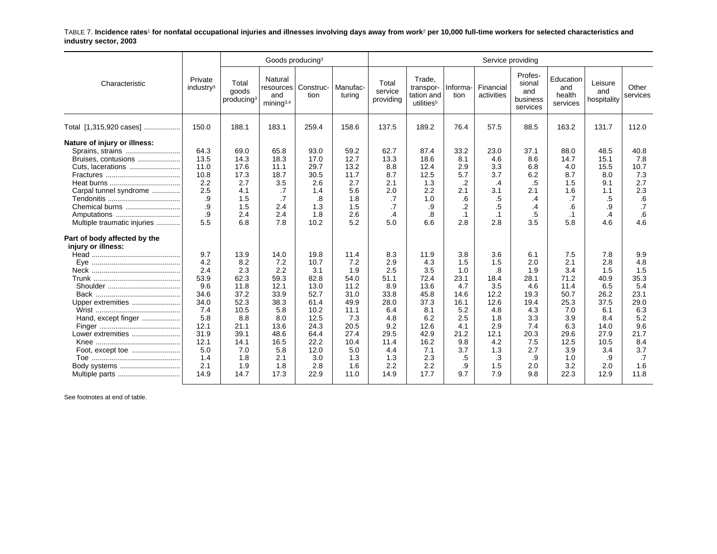TABLE 7. **Incidence rates**1 **for nonfatal occupational injuries and illnesses involving days away from work**2 **per 10,000 full-time workers for selected characteristics and industry sector, 2003**

|                                                                                                                                                                                                                                              |                                                                                                |                                                                                                  | Goods producing <sup>3</sup>                                                                      |                                                                                                    |                                                                                                  |                                                                                               |                                                                                                 |                                                                                                  | Service providing                                                                          |                                                                                            |                                                                                                |                                                                                               |                                                                                             |
|----------------------------------------------------------------------------------------------------------------------------------------------------------------------------------------------------------------------------------------------|------------------------------------------------------------------------------------------------|--------------------------------------------------------------------------------------------------|---------------------------------------------------------------------------------------------------|----------------------------------------------------------------------------------------------------|--------------------------------------------------------------------------------------------------|-----------------------------------------------------------------------------------------------|-------------------------------------------------------------------------------------------------|--------------------------------------------------------------------------------------------------|--------------------------------------------------------------------------------------------|--------------------------------------------------------------------------------------------|------------------------------------------------------------------------------------------------|-----------------------------------------------------------------------------------------------|---------------------------------------------------------------------------------------------|
| Characteristic                                                                                                                                                                                                                               | Private<br>industry <sup>3</sup>                                                               | Total<br>goods<br>producing <sup>3</sup>                                                         | Natural<br>resources<br>and<br>minima <sup>3,4</sup>                                              | Construc-<br>tion                                                                                  | Manufac-<br>turing                                                                               | Total<br>service<br>providing                                                                 | Trade.<br>transpor-<br>tation and<br>utilities <sup>5</sup>                                     | Informa-<br>tion                                                                                 | Financial<br>activities                                                                    | Profes-<br>sional<br>and<br>business<br>services                                           | Education<br>and<br>health<br>services                                                         | Leisure<br>and<br>hospitality                                                                 | Other<br>services                                                                           |
| Total [1,315,920 cases]                                                                                                                                                                                                                      | 150.0                                                                                          | 188.1                                                                                            | 183.1                                                                                             | 259.4                                                                                              | 158.6                                                                                            | 137.5                                                                                         | 189.2                                                                                           | 76.4                                                                                             | 57.5                                                                                       | 88.5                                                                                       | 163.2                                                                                          | 131.7                                                                                         | 112.0                                                                                       |
| Nature of injury or illness:<br>Sprains, strains<br>Bruises, contusions<br>Cuts, lacerations<br>Carpal tunnel syndrome<br>Chemical burns<br>Amputations<br>Multiple traumatic injuries<br>Part of body affected by the<br>injury or illness: | 64.3<br>13.5<br>11.0<br>10.8<br>2.2<br>2.5<br>.9<br>.9<br>.9<br>5.5<br>9.7<br>4.2<br>2.4       | 69.0<br>14.3<br>17.6<br>17.3<br>2.7<br>4.1<br>1.5<br>1.5<br>2.4<br>6.8<br>13.9<br>8.2<br>2.3     | 65.8<br>18.3<br>11.1<br>18.7<br>3.5<br>.7<br>$\cdot$ 7<br>2.4<br>2.4<br>7.8<br>14.0<br>7.2<br>2.2 | 93.0<br>17.0<br>29.7<br>30.5<br>2.6<br>1.4<br>.8<br>1.3<br>1.8<br>10.2<br>19.8<br>10.7<br>3.1      | 59.2<br>12.7<br>13.2<br>11.7<br>2.7<br>5.6<br>1.8<br>1.5<br>2.6<br>5.2<br>11.4<br>7.2<br>1.9     | 62.7<br>13.3<br>8.8<br>8.7<br>2.1<br>2.0<br>.7<br>.7<br>$\cdot$<br>5.0<br>8.3<br>2.9<br>2.5   | 87.4<br>18.6<br>12.4<br>12.5<br>1.3<br>2.2<br>1.0<br>.9<br>8.<br>6.6<br>11.9<br>4.3<br>3.5      | 33.2<br>8.1<br>2.9<br>5.7<br>.2<br>2.1<br>.6<br>$\cdot$<br>$\cdot$ 1<br>2.8<br>3.8<br>1.5<br>1.0 | 23.0<br>4.6<br>3.3<br>3.7<br>.4<br>3.1<br>.5<br>.5<br>$\cdot$ 1<br>2.8<br>3.6<br>1.5<br>.8 | 37.1<br>8.6<br>6.8<br>6.2<br>.5<br>2.1<br>.4<br>.4<br>.5<br>3.5<br>6.1<br>2.0<br>1.9       | 88.0<br>14.7<br>4.0<br>8.7<br>1.5<br>1.6<br>.7<br>.6<br>$\cdot$ 1<br>5.8<br>7.5<br>2.1<br>3.4  | 48.5<br>15.1<br>15.5<br>8.0<br>9.1<br>1.1<br>.5<br>.9<br>.4<br>4.6<br>7.8<br>2.8<br>1.5       | 40.8<br>7.8<br>10.7<br>7.3<br>2.7<br>2.3<br>.6<br>.7<br>.6<br>4.6<br>9.9<br>4.8<br>1.5      |
| Upper extremities<br>Hand, except finger<br>Lower extremities<br>Body systems                                                                                                                                                                | 53.9<br>9.6<br>34.6<br>34.0<br>7.4<br>5.8<br>12.1<br>31.9<br>12.1<br>5.0<br>1.4<br>2.1<br>14.9 | 62.3<br>11.8<br>37.2<br>52.3<br>10.5<br>8.8<br>21.1<br>39.1<br>14.1<br>7.0<br>1.8<br>1.9<br>14.7 | 59.3<br>12.1<br>33.9<br>38.3<br>5.8<br>8.0<br>13.6<br>48.6<br>16.5<br>5.8<br>2.1<br>1.8<br>17.3   | 82.8<br>13.0<br>52.7<br>61.4<br>10.2<br>12.5<br>24.3<br>64.4<br>22.2<br>12.0<br>3.0<br>2.8<br>22.9 | 54.0<br>11.2<br>31.0<br>49.9<br>11.1<br>7.3<br>20.5<br>27.4<br>10.4<br>5.0<br>1.3<br>1.6<br>11.0 | 51.1<br>8.9<br>33.8<br>28.0<br>6.4<br>4.8<br>9.2<br>29.5<br>11.4<br>4.4<br>1.3<br>2.2<br>14.9 | 72.4<br>13.6<br>45.8<br>37.3<br>8.1<br>6.2<br>12.6<br>42.9<br>16.2<br>7.1<br>2.3<br>2.2<br>17.7 | 23.1<br>4.7<br>14.6<br>16.1<br>5.2<br>2.5<br>4.1<br>21.2<br>9.8<br>3.7<br>.5<br>.9<br>9.7        | 18.4<br>3.5<br>12.2<br>12.6<br>4.8<br>1.8<br>2.9<br>12.1<br>4.2<br>1.3<br>.3<br>1.5<br>7.9 | 28.1<br>4.6<br>19.3<br>19.4<br>4.3<br>3.3<br>7.4<br>20.3<br>7.5<br>2.7<br>.9<br>2.0<br>9.8 | 71.2<br>11.4<br>50.7<br>25.3<br>7.0<br>3.9<br>6.3<br>29.6<br>12.5<br>3.9<br>1.0<br>3.2<br>22.3 | 40.9<br>6.5<br>26.2<br>37.5<br>6.1<br>8.4<br>14.0<br>27.9<br>10.5<br>3.4<br>.9<br>2.0<br>12.9 | 35.3<br>5.4<br>23.1<br>29.0<br>6.3<br>5.2<br>9.6<br>21.7<br>8.4<br>3.7<br>.7<br>1.6<br>11.8 |

See footnotes at end of table.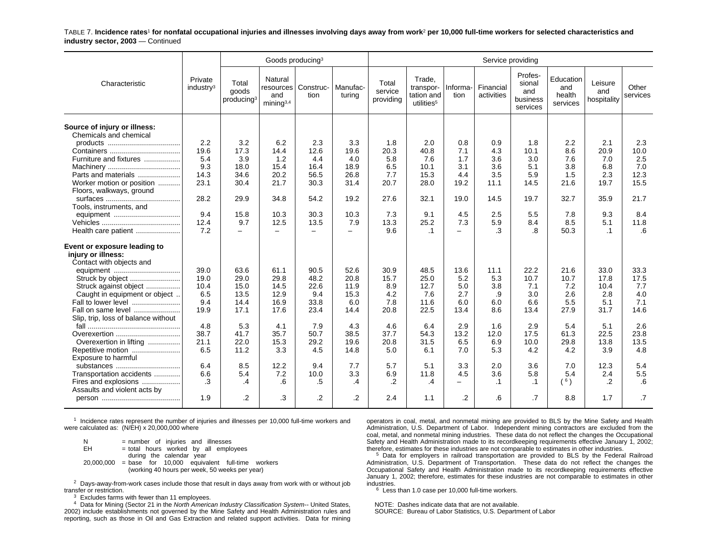TABLE 7. **Incidence rates**1 **for nonfatal occupational injuries and illnesses involving days away from work**2 **per 10,000 full-time workers for selected characteristics and industry sector, 2003** — Continued

|                                                        |                                  |                                          | Goods producing <sup>3</sup>                         |                   |                    |                               |                                                             |                          | Service providing       |                                                  |                                        |                               |                   |
|--------------------------------------------------------|----------------------------------|------------------------------------------|------------------------------------------------------|-------------------|--------------------|-------------------------------|-------------------------------------------------------------|--------------------------|-------------------------|--------------------------------------------------|----------------------------------------|-------------------------------|-------------------|
| Characteristic                                         | Private<br>industry <sup>3</sup> | Total<br>goods<br>producing <sup>3</sup> | Natural<br>resources<br>and<br>mining <sup>3,4</sup> | Construc-<br>tion | Manufac-<br>turing | Total<br>service<br>providing | Trade,<br>transpor-<br>tation and<br>utilities <sup>5</sup> | Informa-<br>tion         | Financial<br>activities | Profes-<br>sional<br>and<br>business<br>services | Education<br>and<br>health<br>services | Leisure<br>and<br>hospitality | Other<br>services |
| Source of injury or illness:<br>Chemicals and chemical |                                  |                                          |                                                      |                   |                    |                               |                                                             |                          |                         |                                                  |                                        |                               |                   |
|                                                        | 2.2                              | 3.2                                      | 6.2                                                  | 2.3               | 3.3                | 1.8                           | 2.0                                                         | 0.8                      | 0.9                     | 1.8                                              | 2.2                                    | 2.1                           | 2.3               |
|                                                        | 19.6                             | 17.3                                     | 14.4                                                 | 12.6              | 19.6               | 20.3                          | 40.8                                                        | 7.1                      | 4.3                     | 10.1                                             | 8.6                                    | 20.9                          | 10.0              |
| Furniture and fixtures                                 | 5.4                              | 3.9                                      | 1.2                                                  | 4.4               | 4.0                | 5.8                           | 7.6                                                         | 1.7                      | 3.6                     | 3.0                                              | 7.6                                    | 7.0                           | 2.5               |
|                                                        | 9.3                              | 18.0                                     | 15.4                                                 | 16.4              | 18.9               | 6.5                           | 10.1                                                        | 3.1                      | 3.6                     | 5.1                                              | 3.8                                    | 6.8                           | 7.0               |
| Parts and materials                                    | 14.3                             | 34.6                                     | 20.2                                                 | 56.5              | 26.8               | 7.7                           | 15.3                                                        | 4.4                      | 3.5                     | 5.9                                              | 1.5                                    | 2.3                           | 12.3              |
| Worker motion or position                              | 23.1                             | 30.4                                     | 21.7                                                 | 30.3              | 31.4               | 20.7                          | 28.0                                                        | 19.2                     | 11.1                    | 14.5                                             | 21.6                                   | 19.7                          | 15.5              |
| Floors, walkways, ground                               |                                  |                                          |                                                      |                   |                    |                               |                                                             |                          |                         |                                                  |                                        |                               |                   |
|                                                        | 28.2                             | 29.9                                     | 34.8                                                 | 54.2              | 19.2               | 27.6                          | 32.1                                                        | 19.0                     | 14.5                    | 19.7                                             | 32.7                                   | 35.9                          | 21.7              |
| Tools, instruments, and                                |                                  |                                          |                                                      |                   |                    |                               |                                                             |                          |                         |                                                  |                                        |                               |                   |
|                                                        | 9.4<br>12.4                      | 15.8<br>9.7                              | 10.3<br>12.5                                         | 30.3<br>13.5      | 10.3<br>7.9        | 7.3<br>13.3                   | 9.1<br>25.2                                                 | 4.5<br>7.3               | 2.5<br>5.9              | 5.5<br>8.4                                       | 7.8<br>8.5                             | 9.3<br>5.1                    | 8.4<br>11.8       |
| Health care patient                                    | 7.2                              | $\equiv$                                 | $\equiv$                                             | $\equiv$          | $\equiv$           | 9.6                           | $\cdot$ 1                                                   | $\overline{\phantom{0}}$ | .3                      | .8                                               | 50.3                                   | $\cdot$ 1                     | .6                |
|                                                        |                                  |                                          |                                                      |                   |                    |                               |                                                             |                          |                         |                                                  |                                        |                               |                   |
| Event or exposure leading to                           |                                  |                                          |                                                      |                   |                    |                               |                                                             |                          |                         |                                                  |                                        |                               |                   |
| injury or illness:                                     |                                  |                                          |                                                      |                   |                    |                               |                                                             |                          |                         |                                                  |                                        |                               |                   |
| Contact with objects and                               |                                  |                                          |                                                      |                   |                    |                               |                                                             |                          |                         |                                                  |                                        |                               |                   |
|                                                        | 39.0                             | 63.6                                     | 61.1                                                 | 90.5              | 52.6               | 30.9                          | 48.5                                                        | 13.6                     | 11.1                    | 22.2                                             | 21.6                                   | 33.0                          | 33.3              |
|                                                        | 19.0                             | 29.0                                     | 29.8                                                 | 48.2              | 20.8               | 15.7                          | 25.0                                                        | 5.2                      | 5.3                     | 10.7                                             | 10.7                                   | 17.8                          | 17.5              |
| Struck against object                                  | 10.4                             | 15.0                                     | 14.5                                                 | 22.6              | 11.9               | 8.9                           | 12.7                                                        | 5.0                      | 3.8                     | 7.1                                              | 7.2                                    | 10.4                          | 7.7               |
| Caught in equipment or object                          | 6.5                              | 13.5                                     | 12.9                                                 | 9.4               | 15.3               | 4.2                           | 7.6                                                         | 2.7                      | .9                      | 3.0                                              | 2.6                                    | 2.8                           | 4.0               |
| Fall to lower level                                    | 9.4                              | 14.4                                     | 16.9                                                 | 33.8              | 6.0                | 7.8                           | 11.6                                                        | 6.0                      | 6.0                     | 6.6                                              | 5.5                                    | 5.1                           | 7.1               |
| Fall on same level                                     | 19.9                             | 17.1                                     | 17.6                                                 | 23.4              | 14.4               | 20.8                          | 22.5                                                        | 13.4                     | 8.6                     | 13.4                                             | 27.9                                   | 31.7                          | 14.6              |
| Slip, trip, loss of balance without                    |                                  |                                          |                                                      |                   |                    |                               |                                                             |                          |                         |                                                  |                                        |                               |                   |
|                                                        | 4.8                              | 5.3                                      | 4.1                                                  | 7.9               | 4.3                | 4.6                           | 6.4                                                         | 2.9                      | 1.6                     | 2.9                                              | 5.4                                    | 5.1                           | 2.6               |
| Overexertion                                           | 38.7                             | 41.7                                     | 35.7                                                 | 50.7              | 38.5               | 37.7                          | 54.3                                                        | 13.2                     | 12.0                    | 17.5                                             | 61.3                                   | 22.5                          | 23.8              |
| Overexertion in lifting                                | 21.1                             | 22.0                                     | 15.3                                                 | 29.2              | 19.6               | 20.8                          | 31.5                                                        | 6.5                      | 6.9                     | 10.0                                             | 29.8                                   | 13.8                          | 13.5              |
| Repetitive motion                                      | 6.5                              | 11.2                                     | 3.3                                                  | 4.5               | 14.8               | 5.0                           | 6.1                                                         | 7.0                      | 5.3                     | 4.2                                              | 4.2                                    | 3.9                           | 4.8               |
| Exposure to harmful                                    | 6.4                              | 8.5                                      | 12.2                                                 | 9.4               | 7.7                | 5.7                           | 5.1                                                         | 3.3                      | 2.0                     | 3.6                                              | 7.0                                    | 12.3                          | 5.4               |
| substances<br>Transportation accidents                 | 6.6                              | 5.4                                      | 7.2                                                  | 10.0              | 3.3                | 6.9                           | 11.8                                                        | 4.5                      | 3.6                     | 5.8                                              | 5.4                                    | 2.4                           | 5.5               |
| Fires and explosions                                   | .3                               | .4                                       | .6                                                   | $.5\,$            | $\overline{A}$     | $\cdot$ .2                    | $\cdot$                                                     | $\qquad \qquad -$        | $\cdot$ 1               | $\cdot$ 1                                        | (6)                                    | $\cdot$ .2                    | .6                |
| Assaults and violent acts by                           |                                  |                                          |                                                      |                   |                    |                               |                                                             |                          |                         |                                                  |                                        |                               |                   |
|                                                        | 1.9                              | $\cdot$                                  | .3                                                   | $\overline{2}$    | $\cdot$            | 2.4                           | 1.1                                                         | $\overline{2}$           | .6                      | .7                                               | 8.8                                    | 1.7                           | .7                |
|                                                        |                                  |                                          |                                                      |                   |                    |                               |                                                             |                          |                         |                                                  |                                        |                               |                   |

 $1$  Incidence rates represent the number of injuries and illnesses per 10,000 full-time workers and were calculated as: (N/EH) x 20,000,000 where

 $N = number of injuries and illnesses$ <br> $EH = total hours worked by all embeds$  $=$  total hours worked by all employees during the calendar year 20,000,000 <sup>=</sup> base for 10,000 equivalent full-time workers (working 40 hours per week, 50 weeks per year)

 $^2$  Days-away-from-work cases include those that result in days away from work with or without job transfer or restriction.

 $3$  Excludes farms with fewer than 11 employees.

<sup>4</sup> Data for Mining (Sector 21 in the North American Industry Classification System-- United States, 2002) include establishments not governed by the Mine Safety and Health Administration rules and reporting, such as those in Oil and Gas Extraction and related support activities. Data for mining

operators in coal, metal, and nonmetal mining are provided to BLS by the Mine Safety and Health Administration, U.S. Department of Labor. Independent mining contractors are excluded from the coal, metal, and nonmetal mining industries. These data do not reflect the changes the Occupational Safety and Health Administration made to its recordkeeping requirements effective January 1, 2002; therefore, estimates for these industries are not comparable to estimates in other industries.

<sup>5</sup> Data for employers in railroad transportation are provided to BLS by the Federal Railroad Administration, U.S. Department of Transportation. These data do not reflect the changes the Occupational Safety and Health Administration made to its recordkeeping requirements effective January 1, 2002; therefore, estimates for these industries are not comparable to estimates in other industries.

 $6$  Less than 1.0 case per 10,000 full-time workers.

NOTE: Dashes indicate data that are not available.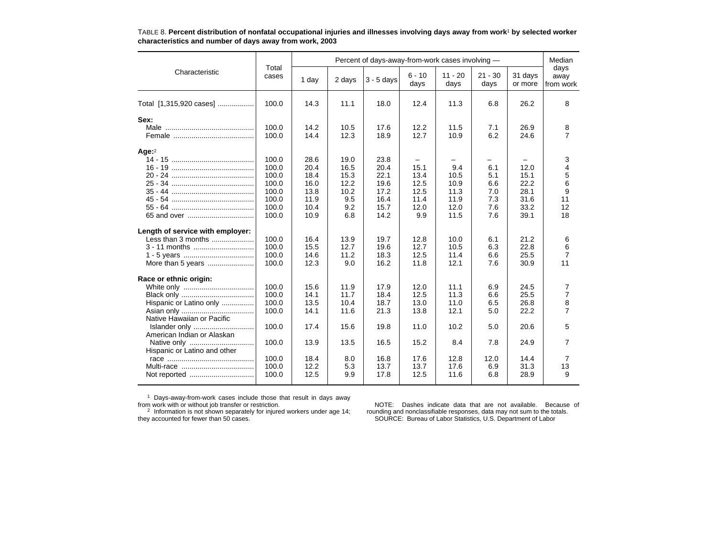|                                             |                |              |              | Percent of days-away-from-work cases involving - |                          |                   |                   |                    | Median<br>days<br>away<br>from work |
|---------------------------------------------|----------------|--------------|--------------|--------------------------------------------------|--------------------------|-------------------|-------------------|--------------------|-------------------------------------|
| Characteristic                              | Total<br>cases | 1 day        | 2 days       | $3 - 5$ days                                     | $6 - 10$<br>days         | $11 - 20$<br>days | $21 - 30$<br>days | 31 days<br>or more |                                     |
| Total [1,315,920 cases]                     | 100.0          | 14.3         | 11.1         | 18.0                                             | 12.4                     | 11.3              | 6.8               | 26.2               | 8                                   |
| Sex:                                        |                |              |              |                                                  |                          |                   |                   |                    |                                     |
|                                             | 100.0<br>100.0 | 14.2<br>14.4 | 10.5<br>12.3 | 17.6<br>18.9                                     | 12.2<br>12.7             | 11.5<br>10.9      | 7.1<br>6.2        | 26.9<br>24.6       | 8<br>$\overline{7}$                 |
| Age $^2$                                    |                |              |              |                                                  |                          |                   |                   |                    |                                     |
|                                             | 100.0          | 28.6         | 19.0         | 23.8                                             | $\overline{\phantom{m}}$ |                   |                   |                    | 3                                   |
|                                             | 100.0          | 20.4         | 16.5         | 20.4                                             | 15.1                     | 9.4               | 6.1               | 12.0               | $\overline{4}$                      |
|                                             | 100.0<br>100.0 | 18.4<br>16.0 | 15.3<br>12.2 | 22.1<br>19.6                                     | 13.4<br>12.5             | 10.5<br>10.9      | 5.1<br>6.6        | 15.1<br>22.2       | 5<br>6                              |
|                                             | 100.0          | 13.8         | 10.2         | 17.2                                             | 12.5                     | 11.3              | 7.0               | 28.1               | 9                                   |
|                                             | 100.0          | 11.9         | 9.5          | 16.4                                             | 11.4                     | 11.9              | 7.3               | 31.6               | 11                                  |
|                                             | 100.0          | 10.4         | 9.2          | 15.7                                             | 12.0                     | 12.0              | 7.6               | 33.2               | 12                                  |
|                                             | 100.0          | 10.9         | 6.8          | 14.2                                             | 9.9                      | 11.5              | 7.6               | 39.1               | 18                                  |
| Length of service with employer:            |                |              |              |                                                  |                          |                   |                   |                    |                                     |
| Less than 3 months                          | 100.0          | 16.4         | 13.9         | 19.7                                             | 12.8                     | 10.0              | 6.1               | 21.2               | 6                                   |
| 3 - 11 months                               | 100.0          | 15.5         | 12.7         | 19.6                                             | 12.7                     | 10.5              | 6.3               | 22.8               | 6                                   |
|                                             | 100.0          | 14.6         | 11.2         | 18.3                                             | 12.5                     | 11.4              | 6.6               | 25.5               | $\overline{7}$                      |
| More than 5 years                           | 100.0          | 12.3         | 9.0          | 16.2                                             | 11.8                     | 12.1              | 7.6               | 30.9               | 11                                  |
| Race or ethnic origin:                      |                |              |              |                                                  |                          |                   |                   |                    |                                     |
|                                             | 100.0          | 15.6         | 11.9         | 17.9                                             | 12.0                     | 11.1              | 6.9               | 24.5               | 7                                   |
|                                             | 100.0          | 14.1         | 11.7         | 18.4                                             | 12.5                     | 11.3              | 6.6               | 25.5               | 7                                   |
| Hispanic or Latino only                     | 100.0          | 13.5         | 10.4         | 18.7                                             | 13.0                     | 11.0              | 6.5               | 26.8               | 8                                   |
|                                             | 100.0          | 14.1         | 11.6         | 21.3                                             | 13.8                     | 12.1              | 5.0               | 22.2               | 7                                   |
| Native Hawaiian or Pacific<br>Islander only | 100.0          | 17.4         | 15.6         | 19.8                                             | 11.0                     | 10.2              | 5.0               | 20.6               | 5                                   |
| American Indian or Alaskan                  |                |              |              |                                                  |                          |                   |                   |                    |                                     |
|                                             | 100.0          | 13.9         | 13.5         | 16.5                                             | 15.2                     | 8.4               | 7.8               | 24.9               | $\overline{7}$                      |
| Hispanic or Latino and other                |                |              |              |                                                  |                          |                   |                   |                    |                                     |
|                                             | 100.0          | 18.4         | 8.0          | 16.8                                             | 17.6                     | 12.8              | 12.0              | 14.4               | 7                                   |
|                                             | 100.0          | 12.2         | 5.3          | 13.7                                             | 13.7                     | 17.6              | 6.9               | 31.3               | 13                                  |
|                                             | 100.0          | 12.5         | 9.9          | 17.8                                             | 12.5                     | 11.6              | 6.8               | 28.9               | 9                                   |

TABLE 8. **Percent distribution of nonfatal occupational injuries and illnesses involving days away from work**1 **by selected worker characteristics and number of days away from work, 2003**

<sup>1</sup> Days-away-from-work cases include those that result in days away<br>from work with or without job transfer or restriction.<br><sup>2</sup> Information is not shown separately for injured workers under age 14;<br>they accounted for fewe

NOTE: Dashes indicate data that are not available. Because of rounding and nonclassifiable responses, data may not sum to the totals. SOURCE: Bureau of Labor Statistics, U.S. Department of Labor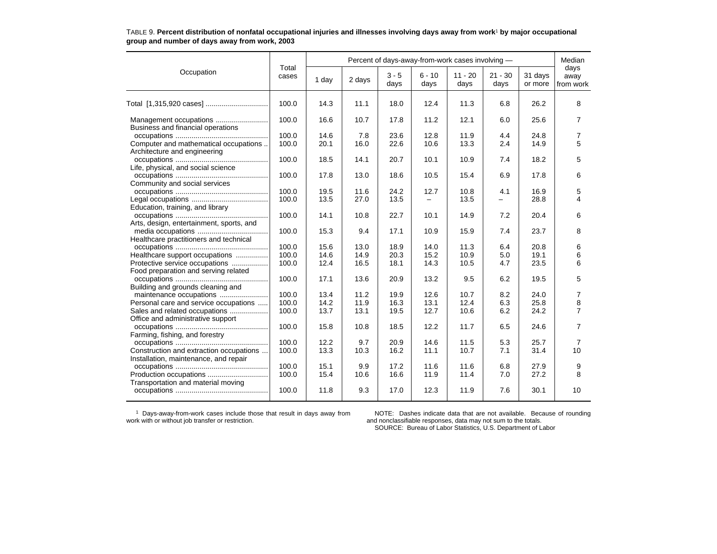|                                          |                | Percent of days-away-from-work cases involving - |        |                 |                  |                   |                          |                    |                           |  |  |
|------------------------------------------|----------------|--------------------------------------------------|--------|-----------------|------------------|-------------------|--------------------------|--------------------|---------------------------|--|--|
| Occupation                               | Total<br>cases | 1 day                                            | 2 days | $3 - 5$<br>days | $6 - 10$<br>days | $11 - 20$<br>days | $21 - 30$<br>days        | 31 days<br>or more | days<br>away<br>from work |  |  |
|                                          | 100.0          | 14.3                                             | 11.1   | 18.0            | 12.4             | 11.3              | 6.8                      | 26.2               | 8                         |  |  |
| Business and financial operations        | 100.0          | 16.6                                             | 10.7   | 17.8            | 11.2             | 12.1              | 6.0                      | 25.6               | $\overline{7}$            |  |  |
|                                          | 100.0          | 14.6                                             | 7.8    | 23.6            | 12.8             | 11.9              | 4.4                      | 24.8               | 7                         |  |  |
| Computer and mathematical occupations    | 100.0          | 20.1                                             | 16.0   | 22.6            | 10.6             | 13.3              | 2.4                      | 14.9               | 5                         |  |  |
| Architecture and engineering             |                |                                                  |        |                 |                  |                   |                          |                    |                           |  |  |
|                                          | 100.0          | 18.5                                             | 14.1   | 20.7            | 10.1             | 10.9              | 7.4                      | 18.2               | 5                         |  |  |
| Life, physical, and social science       |                |                                                  |        |                 |                  |                   |                          |                    |                           |  |  |
|                                          | 100.0          | 17.8                                             | 13.0   | 18.6            | 10.5             | 15.4              | 6.9                      | 17.8               | 6                         |  |  |
| Community and social services            |                |                                                  |        |                 |                  |                   |                          |                    |                           |  |  |
|                                          | 100.0          | 19.5                                             | 11.6   | 24.2            | 12.7             | 10.8              | 4.1                      | 16.9               | 5                         |  |  |
|                                          | 100.0          | 13.5                                             | 27.0   | 13.5            |                  | 13.5              | $\overline{\phantom{0}}$ | 28.8               | 4                         |  |  |
| Education, training, and library         |                |                                                  |        |                 |                  |                   |                          |                    |                           |  |  |
|                                          | 100.0          | 14.1                                             | 10.8   | 22.7            | 10.1             | 14.9              | 7.2                      | 20.4               | 6                         |  |  |
| Arts, design, entertainment, sports, and |                |                                                  |        |                 |                  |                   |                          |                    |                           |  |  |
|                                          | 100.0          | 15.3                                             | 9.4    | 17.1            | 10.9             | 15.9              | 7.4                      | 23.7               | 8                         |  |  |
| Healthcare practitioners and technical   |                |                                                  |        |                 |                  |                   |                          |                    |                           |  |  |
|                                          | 100.0          | 15.6                                             | 13.0   | 18.9            | 14.0             | 11.3              | 6.4                      | 20.8               | 6                         |  |  |
| Healthcare support occupations           | 100.0          | 14.6                                             | 14.9   | 20.3            | 15.2             | 10.9              | 5.0                      | 19.1               | 6                         |  |  |
| Protective service occupations           | 100.0          | 12.4                                             | 16.5   | 18.1            | 14.3             | 10.5              | 4.7                      | 23.5               | 6                         |  |  |
| Food preparation and serving related     |                |                                                  |        |                 |                  |                   |                          |                    |                           |  |  |
|                                          | 100.0          | 17.1                                             | 13.6   | 20.9            | 13.2             | 9.5               | 6.2                      | 19.5               | 5                         |  |  |
| Building and grounds cleaning and        |                |                                                  |        |                 |                  |                   |                          |                    |                           |  |  |
|                                          | 100.0          | 13.4                                             | 11.2   | 19.9            | 12.6             | 10.7              | 8.2                      | 24.0               | 7                         |  |  |
| Personal care and service occupations    | 100.0          | 14.2                                             | 11.9   | 16.3            | 13.1             | 12.4              | 6.3                      | 25.8               | 8                         |  |  |
| Sales and related occupations            | 100.0          | 13.7                                             | 13.1   | 19.5            | 12.7             | 10.6              | 6.2                      | 24.2               | $\overline{7}$            |  |  |
| Office and administrative support        |                |                                                  |        |                 |                  |                   |                          |                    |                           |  |  |
|                                          | 100.0          | 15.8                                             | 10.8   | 18.5            | 12.2             | 11.7              | 6.5                      | 24.6               | 7                         |  |  |
| Farming, fishing, and forestry           |                |                                                  |        |                 |                  |                   |                          |                    |                           |  |  |
|                                          | 100.0          | 12.2                                             | 9.7    | 20.9            | 14.6             | 11.5              | 5.3                      | 25.7               | 7                         |  |  |
| Construction and extraction occupations  | 100.0          | 13.3                                             | 10.3   | 16.2            | 11.1             | 10.7              | 7.1                      | 31.4               | 10                        |  |  |
| Installation, maintenance, and repair    |                |                                                  |        |                 |                  |                   |                          |                    |                           |  |  |
|                                          | 100.0          | 15.1                                             | 9.9    | 17.2            | 11.6             | 11.6              | 6.8                      | 27.9               | 9                         |  |  |
|                                          | 100.0          | 15.4                                             | 10.6   | 16.6            | 11.9             | 11.4              | 7.0                      | 27.2               | 8                         |  |  |
| Transportation and material moving       |                |                                                  |        |                 |                  |                   |                          |                    |                           |  |  |
|                                          | 100.0          | 11.8                                             | 9.3    | 17.0            | 12.3             | 11.9              | 7.6                      | 30.1               | 10                        |  |  |
|                                          |                |                                                  |        |                 |                  |                   |                          |                    |                           |  |  |

### TABLE 9. **Percent distribution of nonfatal occupational injuries and illnesses involving days away from work**1 **by major occupational group and number of days away from work, 2003**

1 Days-away-from-work cases include those that result in days away from work with or without job transfer or restriction.

NOTE: Dashes indicate data that are not available. Because of rounding and nonclassifiable responses, data may not sum to the totals. SOURCE: Bureau of Labor Statistics, U.S. Department of Labor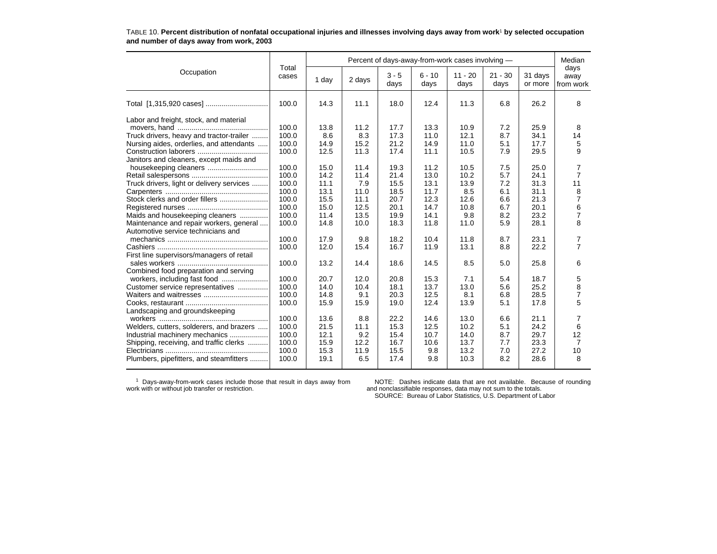|                                           |                |       | Percent of days-away-from-work cases involving - |                 |                  |                   |                   |                    |                           |  |  |  |  |
|-------------------------------------------|----------------|-------|--------------------------------------------------|-----------------|------------------|-------------------|-------------------|--------------------|---------------------------|--|--|--|--|
| Occupation                                | Total<br>cases | 1 day | 2 days                                           | $3 - 5$<br>days | $6 - 10$<br>days | $11 - 20$<br>days | $21 - 30$<br>days | 31 days<br>or more | days<br>away<br>from work |  |  |  |  |
|                                           | 100.0          | 14.3  | 11.1                                             | 18.0            | 12.4             | 11.3              | 6.8               | 26.2               | 8                         |  |  |  |  |
| Labor and freight, stock, and material    |                |       |                                                  |                 |                  |                   |                   |                    |                           |  |  |  |  |
|                                           | 100.0          | 13.8  | 11.2                                             | 17.7            | 13.3             | 10.9              | 7.2               | 25.9               | 8                         |  |  |  |  |
| Truck drivers, heavy and tractor-trailer  | 100.0          | 8.6   | 8.3                                              | 17.3            | 11.0             | 12.1              | 8.7               | 34.1               | 14                        |  |  |  |  |
| Nursing aides, orderlies, and attendants  | 100.0          | 14.9  | 15.2                                             | 21.2            | 14.9             | 11.0              | 5.1               | 17.7               | 5                         |  |  |  |  |
|                                           | 100.0          | 12.5  | 11.3                                             | 17.4            | 11.1             | 10.5              | 7.9               | 29.5               | 9                         |  |  |  |  |
| Janitors and cleaners, except maids and   | 100.0          | 15.0  | 11.4                                             | 19.3            | 11.2             | 10.5              | 7.5               | 25.0               | 7                         |  |  |  |  |
|                                           | 100.0          | 14.2  | 11.4                                             | 21.4            | 13.0             | 10.2              | 5.7               | 24.1               | $\overline{7}$            |  |  |  |  |
| Truck drivers, light or delivery services | 100.0          | 11.1  | 7.9                                              | 15.5            | 13.1             | 13.9              | 7.2               | 31.3               | 11                        |  |  |  |  |
|                                           | 100.0          | 13.1  | 11.0                                             | 18.5            | 11.7             | 8.5               | 6.1               | 31.1               | 8                         |  |  |  |  |
|                                           | 100.0          | 15.5  | 11.1                                             | 20.7            | 12.3             | 12.6              | 6.6               | 21.3               | 7                         |  |  |  |  |
| Stock clerks and order fillers            | 100.0          | 15.0  | 12.5                                             | 20.1            | 14.7             | 10.8              | 6.7               | 20.1               | 6                         |  |  |  |  |
| Maids and housekeeping cleaners           | 100.0          | 11.4  | 13.5                                             | 19.9            | 14.1             | 9.8               | 8.2               | 23.2               | $\overline{7}$            |  |  |  |  |
| Maintenance and repair workers, general   | 100.0          | 14.8  | 10.0                                             | 18.3            | 11.8             | 11.0              | 5.9               | 28.1               | 8                         |  |  |  |  |
| Automotive service technicians and        |                |       |                                                  |                 |                  |                   |                   |                    |                           |  |  |  |  |
|                                           | 100.0          | 17.9  | 9.8                                              | 18.2            | 10.4             | 11.8              | 8.7               | 23.1               | 7                         |  |  |  |  |
|                                           | 100.0          | 12.0  | 15.4                                             | 16.7            | 11.9             | 13.1              | 8.8               | 22.2               | $\overline{7}$            |  |  |  |  |
| First line supervisors/managers of retail |                |       |                                                  |                 |                  |                   |                   |                    |                           |  |  |  |  |
|                                           | 100.0          | 13.2  | 14.4                                             | 18.6            | 14.5             | 8.5               | 5.0               | 25.8               | 6                         |  |  |  |  |
| Combined food preparation and serving     |                |       |                                                  |                 |                  |                   |                   |                    |                           |  |  |  |  |
| workers, including fast food              | 100.0          | 20.7  | 12.0                                             | 20.8            | 15.3             | 7.1               | 5.4               | 18.7               | 5                         |  |  |  |  |
| Customer service representatives          | 100.0          | 14.0  | 10.4                                             | 18.1            | 13.7             | 13.0              | 5.6               | 25.2               | 8                         |  |  |  |  |
|                                           | 100.0          | 14.8  | 9.1                                              | 20.3            | 12.5             | 8.1               | 6.8               | 28.5               | $\overline{7}$            |  |  |  |  |
|                                           | 100.0          | 15.9  | 15.9                                             | 19.0            | 12.4             | 13.9              | 5.1               | 17.8               | 5                         |  |  |  |  |
| Landscaping and groundskeeping            |                |       |                                                  |                 |                  |                   |                   |                    |                           |  |  |  |  |
|                                           | 100.0          | 13.6  | 8.8                                              | 22.2            | 14.6             | 13.0              | 6.6               | 21.1               | 7                         |  |  |  |  |
| Welders, cutters, solderers, and brazers  | 100.0          | 21.5  | 11.1                                             | 15.3            | 12.5             | 10.2              | 5.1               | 24.2               | 6                         |  |  |  |  |
| Industrial machinery mechanics            | 100.0          | 12.1  | 9.2                                              | 15.4            | 10.7             | 14.0              | 8.7               | 29.7               | 12                        |  |  |  |  |
| Shipping, receiving, and traffic clerks   | 100.0          | 15.9  | 12.2                                             | 16.7            | 10.6             | 13.7              | 7.7               | 23.3               | $\overline{7}$            |  |  |  |  |
|                                           | 100.0          | 15.3  | 11.9                                             | 15.5            | 9.8              | 13.2              | 7.0               | 27.2               | 10                        |  |  |  |  |
| Plumbers, pipefitters, and steamfitters   | 100.0          | 19.1  | 6.5                                              | 17.4            | 9.8              | 10.3              | 8.2               | 28.6               | 8                         |  |  |  |  |

### TABLE 10. **Percent distribution of nonfatal occupational injuries and illnesses involving days away from work**1 **by selected occupation and number of days away from work, 2003**

1 Days-away-from-work cases include those that result in days away from work with or without job transfer or restriction.

NOTE: Dashes indicate data that are not available. Because of rounding and nonclassifiable responses, data may not sum to the totals. SOURCE: Bureau of Labor Statistics, U.S. Department of Labor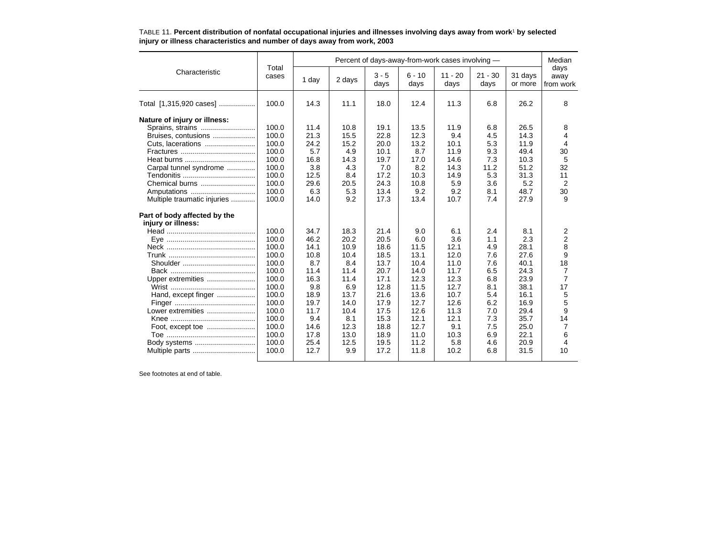|                                                                                                                                                                                                                                                                                                                                                                                                                                                                                                                                                                                                                                                                                                                                                                                                                                                                                                                                                                                                                                                                                                                                                                                                                                                              |           |                   | Percent of days-away-from-work cases involving - |                           |      |      |      |      |                |  |  |  |
|--------------------------------------------------------------------------------------------------------------------------------------------------------------------------------------------------------------------------------------------------------------------------------------------------------------------------------------------------------------------------------------------------------------------------------------------------------------------------------------------------------------------------------------------------------------------------------------------------------------------------------------------------------------------------------------------------------------------------------------------------------------------------------------------------------------------------------------------------------------------------------------------------------------------------------------------------------------------------------------------------------------------------------------------------------------------------------------------------------------------------------------------------------------------------------------------------------------------------------------------------------------|-----------|-------------------|--------------------------------------------------|---------------------------|------|------|------|------|----------------|--|--|--|
| Total<br>Characteristic<br>$3 - 5$<br>$6 - 10$<br>cases<br>1 day<br>2 days<br>days<br>days<br>days<br>100.0<br>14.3<br>11.1<br>12.4<br>11.3<br>18.0<br>100.0<br>11.4<br>10.8<br>13.5<br>11.9<br>19.1<br>100.0<br>21.3<br>15.5<br>22.8<br>12.3<br>9.4<br>Bruises, contusions<br>100.0<br>15.2<br>13.2<br>24.2<br>20.0<br>10.1<br>100.0<br>5.7<br>4.9<br>10.1<br>8.7<br>11.9<br>100.0<br>16.8<br>14.3<br>19.7<br>17.0<br>14.6<br>100.0<br>3.8<br>4.3<br>7.0<br>8.2<br>Carpal tunnel syndrome<br>14.3<br>100.0<br>12.5<br>8.4<br>17.2<br>10.3<br>14.9<br>100.0<br>29.6<br>24.3<br>10.8<br>5.9<br>Chemical burns<br>20.5<br>100.0<br>6.3<br>5.3<br>13.4<br>9.2<br>9.2<br>Amputations<br>100.0<br>9.2<br>13.4<br>14.0<br>17.3<br>10.7<br>Multiple traumatic injuries<br>100.0<br>18.3<br>21.4<br>34.7<br>9.0<br>6.1<br>100.0<br>46.2<br>20.2<br>20.5<br>3.6<br>6.0<br>100.0<br>14.1<br>10.9<br>18.6<br>11.5<br>12.1<br>100.0<br>10.8<br>10.4<br>18.5<br>13.1<br>12.0<br>100.0<br>8.7<br>8.4<br>13.7<br>10.4<br>11.0<br>100.0<br>11.4<br>11.4<br>20.7<br>14.0<br>11.7<br>100.0<br>16.3<br>11.4<br>17.1<br>12.3<br>12.3<br>Upper extremities<br>100.0<br>9.8<br>11.5<br>6.9<br>12.8<br>12.7<br>100.0<br>18.9<br>13.7<br>21.6<br>13.6<br>10.7<br>Hand, except finger | $11 - 20$ | $21 - 30$<br>days | 31 days<br>or more                               | days<br>away<br>from work |      |      |      |      |                |  |  |  |
| Total [1,315,920 cases]                                                                                                                                                                                                                                                                                                                                                                                                                                                                                                                                                                                                                                                                                                                                                                                                                                                                                                                                                                                                                                                                                                                                                                                                                                      |           |                   |                                                  |                           |      |      | 6.8  | 26.2 | 8              |  |  |  |
| Nature of injury or illness:                                                                                                                                                                                                                                                                                                                                                                                                                                                                                                                                                                                                                                                                                                                                                                                                                                                                                                                                                                                                                                                                                                                                                                                                                                 |           |                   |                                                  |                           |      |      |      |      |                |  |  |  |
|                                                                                                                                                                                                                                                                                                                                                                                                                                                                                                                                                                                                                                                                                                                                                                                                                                                                                                                                                                                                                                                                                                                                                                                                                                                              |           |                   |                                                  |                           |      |      | 6.8  | 26.5 | 8              |  |  |  |
|                                                                                                                                                                                                                                                                                                                                                                                                                                                                                                                                                                                                                                                                                                                                                                                                                                                                                                                                                                                                                                                                                                                                                                                                                                                              |           |                   |                                                  |                           |      |      | 4.5  | 14.3 | 4              |  |  |  |
|                                                                                                                                                                                                                                                                                                                                                                                                                                                                                                                                                                                                                                                                                                                                                                                                                                                                                                                                                                                                                                                                                                                                                                                                                                                              |           |                   |                                                  |                           |      |      | 5.3  | 11.9 | 4              |  |  |  |
|                                                                                                                                                                                                                                                                                                                                                                                                                                                                                                                                                                                                                                                                                                                                                                                                                                                                                                                                                                                                                                                                                                                                                                                                                                                              |           |                   |                                                  |                           |      |      | 9.3  | 49.4 | 30             |  |  |  |
|                                                                                                                                                                                                                                                                                                                                                                                                                                                                                                                                                                                                                                                                                                                                                                                                                                                                                                                                                                                                                                                                                                                                                                                                                                                              |           |                   |                                                  |                           |      |      | 7.3  | 10.3 | 5              |  |  |  |
|                                                                                                                                                                                                                                                                                                                                                                                                                                                                                                                                                                                                                                                                                                                                                                                                                                                                                                                                                                                                                                                                                                                                                                                                                                                              |           |                   |                                                  |                           |      |      | 11.2 | 51.2 | 32             |  |  |  |
|                                                                                                                                                                                                                                                                                                                                                                                                                                                                                                                                                                                                                                                                                                                                                                                                                                                                                                                                                                                                                                                                                                                                                                                                                                                              |           |                   |                                                  |                           |      |      | 5.3  | 31.3 | 11             |  |  |  |
|                                                                                                                                                                                                                                                                                                                                                                                                                                                                                                                                                                                                                                                                                                                                                                                                                                                                                                                                                                                                                                                                                                                                                                                                                                                              |           |                   |                                                  |                           |      |      | 3.6  | 5.2  | 2              |  |  |  |
|                                                                                                                                                                                                                                                                                                                                                                                                                                                                                                                                                                                                                                                                                                                                                                                                                                                                                                                                                                                                                                                                                                                                                                                                                                                              |           |                   |                                                  |                           |      |      | 8.1  | 48.7 | 30             |  |  |  |
|                                                                                                                                                                                                                                                                                                                                                                                                                                                                                                                                                                                                                                                                                                                                                                                                                                                                                                                                                                                                                                                                                                                                                                                                                                                              |           |                   |                                                  |                           |      |      | 7.4  | 27.9 | 9              |  |  |  |
| Part of body affected by the                                                                                                                                                                                                                                                                                                                                                                                                                                                                                                                                                                                                                                                                                                                                                                                                                                                                                                                                                                                                                                                                                                                                                                                                                                 |           |                   |                                                  |                           |      |      |      |      |                |  |  |  |
| injury or illness:                                                                                                                                                                                                                                                                                                                                                                                                                                                                                                                                                                                                                                                                                                                                                                                                                                                                                                                                                                                                                                                                                                                                                                                                                                           |           |                   |                                                  |                           |      |      |      |      |                |  |  |  |
|                                                                                                                                                                                                                                                                                                                                                                                                                                                                                                                                                                                                                                                                                                                                                                                                                                                                                                                                                                                                                                                                                                                                                                                                                                                              |           |                   |                                                  |                           |      |      | 2.4  | 8.1  | 2              |  |  |  |
|                                                                                                                                                                                                                                                                                                                                                                                                                                                                                                                                                                                                                                                                                                                                                                                                                                                                                                                                                                                                                                                                                                                                                                                                                                                              |           |                   |                                                  |                           |      |      | 1.1  | 2.3  | $\overline{2}$ |  |  |  |
|                                                                                                                                                                                                                                                                                                                                                                                                                                                                                                                                                                                                                                                                                                                                                                                                                                                                                                                                                                                                                                                                                                                                                                                                                                                              |           |                   |                                                  |                           |      |      | 4.9  | 28.1 | 8              |  |  |  |
|                                                                                                                                                                                                                                                                                                                                                                                                                                                                                                                                                                                                                                                                                                                                                                                                                                                                                                                                                                                                                                                                                                                                                                                                                                                              |           |                   |                                                  |                           |      |      | 7.6  | 27.6 | 9              |  |  |  |
|                                                                                                                                                                                                                                                                                                                                                                                                                                                                                                                                                                                                                                                                                                                                                                                                                                                                                                                                                                                                                                                                                                                                                                                                                                                              |           |                   |                                                  |                           |      |      | 7.6  | 40.1 | 18             |  |  |  |
|                                                                                                                                                                                                                                                                                                                                                                                                                                                                                                                                                                                                                                                                                                                                                                                                                                                                                                                                                                                                                                                                                                                                                                                                                                                              |           |                   |                                                  |                           |      |      | 6.5  | 24.3 | 7              |  |  |  |
|                                                                                                                                                                                                                                                                                                                                                                                                                                                                                                                                                                                                                                                                                                                                                                                                                                                                                                                                                                                                                                                                                                                                                                                                                                                              |           |                   |                                                  |                           |      |      | 6.8  | 23.9 | $\overline{7}$ |  |  |  |
|                                                                                                                                                                                                                                                                                                                                                                                                                                                                                                                                                                                                                                                                                                                                                                                                                                                                                                                                                                                                                                                                                                                                                                                                                                                              |           |                   |                                                  |                           |      |      | 8.1  | 38.1 | 17             |  |  |  |
|                                                                                                                                                                                                                                                                                                                                                                                                                                                                                                                                                                                                                                                                                                                                                                                                                                                                                                                                                                                                                                                                                                                                                                                                                                                              |           |                   |                                                  |                           |      |      | 5.4  | 16.1 | 5              |  |  |  |
|                                                                                                                                                                                                                                                                                                                                                                                                                                                                                                                                                                                                                                                                                                                                                                                                                                                                                                                                                                                                                                                                                                                                                                                                                                                              | 100.0     | 19.7              | 14.0                                             | 17.9                      | 12.7 | 12.6 | 6.2  | 16.9 | 5              |  |  |  |
| Lower extremities                                                                                                                                                                                                                                                                                                                                                                                                                                                                                                                                                                                                                                                                                                                                                                                                                                                                                                                                                                                                                                                                                                                                                                                                                                            | 100.0     | 11.7              | 10.4                                             | 17.5                      | 12.6 | 11.3 | 7.0  | 29.4 | 9              |  |  |  |
|                                                                                                                                                                                                                                                                                                                                                                                                                                                                                                                                                                                                                                                                                                                                                                                                                                                                                                                                                                                                                                                                                                                                                                                                                                                              | 100.0     | 9.4               | 8.1                                              | 15.3                      | 12.1 | 12.1 | 7.3  | 35.7 | 14             |  |  |  |
|                                                                                                                                                                                                                                                                                                                                                                                                                                                                                                                                                                                                                                                                                                                                                                                                                                                                                                                                                                                                                                                                                                                                                                                                                                                              | 100.0     | 14.6              | 12.3                                             | 18.8                      | 12.7 | 9.1  | 7.5  | 25.0 | 7              |  |  |  |
|                                                                                                                                                                                                                                                                                                                                                                                                                                                                                                                                                                                                                                                                                                                                                                                                                                                                                                                                                                                                                                                                                                                                                                                                                                                              | 100.0     | 17.8              | 13.0                                             | 18.9                      | 11.0 | 10.3 | 6.9  | 22.1 | 6              |  |  |  |
|                                                                                                                                                                                                                                                                                                                                                                                                                                                                                                                                                                                                                                                                                                                                                                                                                                                                                                                                                                                                                                                                                                                                                                                                                                                              | 100.0     | 25.4              | 12.5                                             | 19.5                      | 11.2 | 5.8  | 4.6  | 20.9 | 4              |  |  |  |
| Multiple parts                                                                                                                                                                                                                                                                                                                                                                                                                                                                                                                                                                                                                                                                                                                                                                                                                                                                                                                                                                                                                                                                                                                                                                                                                                               | 100.0     | 12.7              | 9.9                                              | 17.2                      | 11.8 | 10.2 | 6.8  | 31.5 | 10             |  |  |  |
|                                                                                                                                                                                                                                                                                                                                                                                                                                                                                                                                                                                                                                                                                                                                                                                                                                                                                                                                                                                                                                                                                                                                                                                                                                                              |           |                   |                                                  |                           |      |      |      |      |                |  |  |  |

#### TABLE 11. **Percent distribution of nonfatal occupational injuries and illnesses involving days away from work**1 **by selected injury or illness characteristics and number of days away from work, 2003**

See footnotes at end of table.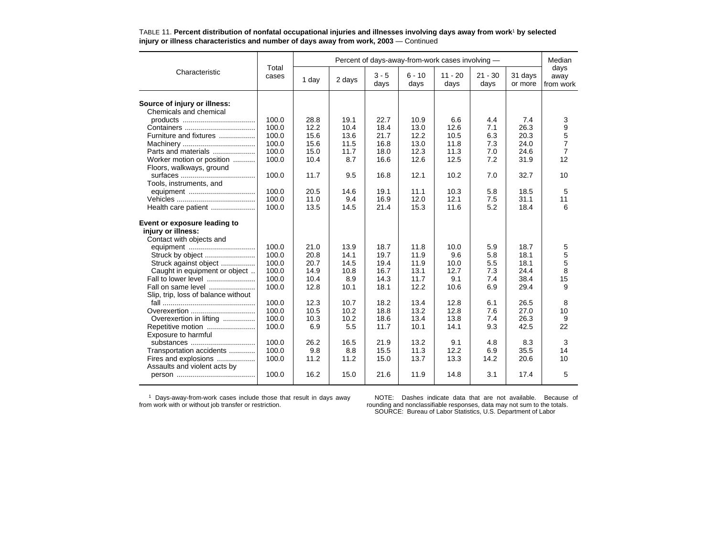| Total<br>Characteristic<br>$3 - 5$<br>$6 - 10$<br>$11 - 20$<br>$21 - 30$<br>31 days<br>cases<br>1 day<br>2 days<br>days<br>days<br>days<br>days<br>or more<br>Source of injury or illness:<br>Chemicals and chemical<br>100.0<br>22.7<br>10.9<br>6.6<br>4.4<br>7.4<br>28.8<br>19.1 | days<br>away<br>from work<br>3<br>9<br>5<br>$\overline{7}$ |
|------------------------------------------------------------------------------------------------------------------------------------------------------------------------------------------------------------------------------------------------------------------------------------|------------------------------------------------------------|
|                                                                                                                                                                                                                                                                                    |                                                            |
|                                                                                                                                                                                                                                                                                    |                                                            |
|                                                                                                                                                                                                                                                                                    |                                                            |
|                                                                                                                                                                                                                                                                                    |                                                            |
|                                                                                                                                                                                                                                                                                    |                                                            |
| 100.0<br>12.2<br>13.0<br>7.1<br>26.3<br>10.4<br>18.4<br>12.6                                                                                                                                                                                                                       |                                                            |
| 100.0<br>15.6<br>13.6<br>21.7<br>12.2<br>10.5<br>6.3<br>20.3<br>Furniture and fixtures                                                                                                                                                                                             |                                                            |
| 100.0<br>13.0<br>7.3<br>24.0<br>15.6<br>11.5<br>16.8<br>11.8                                                                                                                                                                                                                       |                                                            |
| 100.0<br>12.3<br>15.0<br>11.7<br>18.0<br>11.3<br>7.0<br>24.6<br>Parts and materials                                                                                                                                                                                                | $\overline{7}$                                             |
| 100.0<br>7.2<br>10.4<br>8.7<br>16.6<br>12.6<br>12.5<br>31.9<br>Worker motion or position                                                                                                                                                                                           | 12                                                         |
| Floors, walkways, ground                                                                                                                                                                                                                                                           |                                                            |
| 12.1<br>32.7<br>100.0<br>11.7<br>9.5<br>16.8<br>10.2<br>7.0                                                                                                                                                                                                                        | 10                                                         |
| Tools, instruments, and                                                                                                                                                                                                                                                            |                                                            |
| 100.0<br>20.5<br>14.6<br>19.1<br>11.1<br>10.3<br>5.8<br>18.5                                                                                                                                                                                                                       | 5                                                          |
| 100.0<br>11.0<br>16.9<br>12.0<br>12.1<br>7.5<br>31.1<br>9.4                                                                                                                                                                                                                        | 11                                                         |
| 100.0<br>13.5<br>14.5<br>21.4<br>15.3<br>11.6<br>5.2<br>18.4<br>Health care patient                                                                                                                                                                                                | 6                                                          |
| Event or exposure leading to                                                                                                                                                                                                                                                       |                                                            |
| injury or illness:                                                                                                                                                                                                                                                                 |                                                            |
| Contact with objects and                                                                                                                                                                                                                                                           |                                                            |
| 100.0<br>21.0<br>13.9<br>18.7<br>11.8<br>5.9<br>18.7<br>10.0                                                                                                                                                                                                                       | 5                                                          |
| 100.0<br>20.8<br>14.1<br>19.7<br>11.9<br>5.8<br>18.1<br>9.6                                                                                                                                                                                                                        | 5                                                          |
| 100.0<br>20.7<br>19.4<br>11.9<br>18.1<br>Struck against object<br>14.5<br>10.0<br>5.5                                                                                                                                                                                              | 5                                                          |
| 100.0<br>Caught in equipment or object<br>14.9<br>10.8<br>16.7<br>13.1<br>12.7<br>7.3<br>24.4                                                                                                                                                                                      | 8                                                          |
| 100.0<br>38.4<br>Fall to lower level<br>10.4<br>8.9<br>14.3<br>11.7<br>9.1<br>7.4                                                                                                                                                                                                  | 15                                                         |
| 100.0<br>12.2<br>12.8<br>10.1<br>18.1<br>10.6<br>6.9<br>29.4<br>Fall on same level                                                                                                                                                                                                 | 9                                                          |
| Slip, trip, loss of balance without                                                                                                                                                                                                                                                |                                                            |
| 100.0<br>12.3<br>10.7<br>18.2<br>13.4<br>12.8<br>6.1<br>26.5                                                                                                                                                                                                                       | 8                                                          |
| 100.0<br>10.5<br>10.2<br>18.8<br>13.2<br>12.8<br>7.6<br>27.0<br>Overexertion                                                                                                                                                                                                       | 10                                                         |
| 100.0<br>10.3<br>10.2<br>18.6<br>13.4<br>13.8<br>26.3<br>Overexertion in lifting<br>7.4                                                                                                                                                                                            | 9                                                          |
| 100.0<br>6.9<br>5.5<br>11.7<br>9.3<br>42.5<br>10.1<br>14.1<br>Repetitive motion                                                                                                                                                                                                    | 22                                                         |
| Exposure to harmful                                                                                                                                                                                                                                                                |                                                            |
| 26.2<br>8.3<br>substances<br>100.0<br>16.5<br>21.9<br>13.2<br>9.1<br>4.8                                                                                                                                                                                                           | 3                                                          |
| 100.0<br>8.8<br>Transportation accidents<br>9.8<br>15.5<br>11.3<br>12.2<br>6.9<br>35.5                                                                                                                                                                                             | 14                                                         |
| 100.0<br>11.2<br>11.2<br>15.0<br>13.7<br>13.3<br>14.2<br>20.6<br>Fires and explosions                                                                                                                                                                                              | 10                                                         |
| Assaults and violent acts by                                                                                                                                                                                                                                                       |                                                            |
| 100.0<br>3.1<br>16.2<br>15.0<br>21.6<br>11.9<br>14.8<br>17.4                                                                                                                                                                                                                       | 5                                                          |
|                                                                                                                                                                                                                                                                                    |                                                            |

### TABLE 11. **Percent distribution of nonfatal occupational injuries and illnesses involving days away from work**1 **by selected injury or illness characteristics and number of days away from work, 2003** — Continued

1 Days-away-from-work cases include those that result in days away from work with or without job transfer or restriction.

NOTE: Dashes indicate data that are not available. Because of rounding and nonclassifiable responses, data may not sum to the totals. SOURCE: Bureau of Labor Statistics, U.S. Department of Labor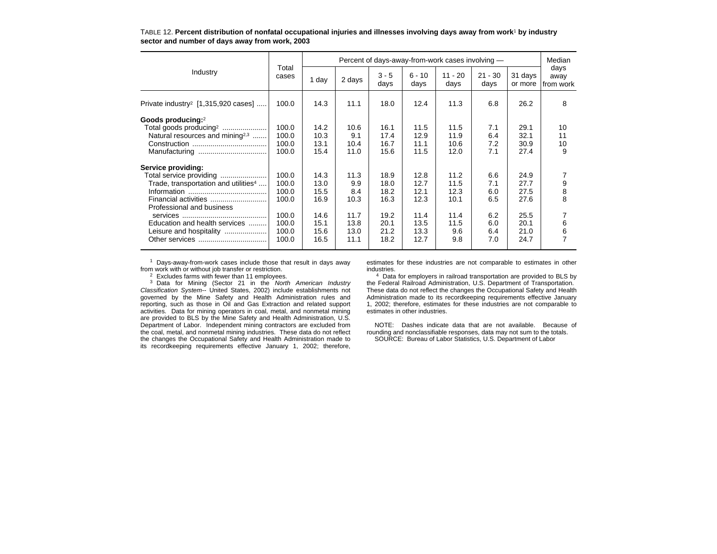|                                                  |                | Percent of days-away-from-work cases involving - |        |                 |                  |                   |                   |                    |                           |  |  |
|--------------------------------------------------|----------------|--------------------------------------------------|--------|-----------------|------------------|-------------------|-------------------|--------------------|---------------------------|--|--|
| Industry                                         | Total<br>cases | 1 day                                            | 2 days | $3 - 5$<br>days | $6 - 10$<br>days | $11 - 20$<br>days | $21 - 30$<br>days | 31 days<br>or more | days<br>away<br>from work |  |  |
| Private industry <sup>2</sup> [1,315,920 cases]  | 100.0          | 14.3                                             | 11.1   | 18.0            | 12.4             | 11.3              | 6.8               | 26.2               | 8                         |  |  |
| Goods producing:2                                |                |                                                  |        |                 |                  |                   |                   |                    |                           |  |  |
| Total goods producing <sup>2</sup>               | 100.0          | 14.2                                             | 10.6   | 16.1            | 11.5             | 11.5              | 7.1               | 29.1               | 10                        |  |  |
| Natural resources and mining <sup>2,3</sup>      | 100.0          | 10.3                                             | 9.1    | 17.4            | 12.9             | 11.9              | 6.4               | 32.1               | 11                        |  |  |
|                                                  | 100.0          | 13.1                                             | 10.4   | 16.7            | 11.1             | 10.6              | 7.2               | 30.9               | 10                        |  |  |
|                                                  | 100.0          | 15.4                                             | 11.0   | 15.6            | 11.5             | 12.0              | 7.1               | 27.4               | 9                         |  |  |
| Service providing:                               |                |                                                  |        |                 |                  |                   |                   |                    |                           |  |  |
| Total service providing                          | 100.0          | 14.3                                             | 11.3   | 18.9            | 12.8             | 11.2              | 6.6               | 24.9               |                           |  |  |
| Trade, transportation and utilities <sup>4</sup> | 100.0          | 13.0                                             | 9.9    | 18.0            | 12.7             | 11.5              | 7.1               | 27.7               | 9                         |  |  |
|                                                  | 100.0          | 15.5                                             | 8.4    | 18.2            | 12.1             | 12.3              | 6.0               | 27.5               | 8                         |  |  |
|                                                  | 100.0          | 16.9                                             | 10.3   | 16.3            | 12.3             | 10.1              | 6.5               | 27.6               | 8                         |  |  |
| Professional and business                        |                |                                                  |        |                 |                  |                   |                   |                    |                           |  |  |
|                                                  | 100.0          | 14.6                                             | 11.7   | 19.2            | 11.4             | 11.4              | 6.2               | 25.5               |                           |  |  |
| Education and health services                    | 100.0          | 15.1                                             | 13.8   | 20.1            | 13.5             | 11.5              | 6.0               | 20.1               | 6                         |  |  |
|                                                  | 100.0          | 15.6                                             | 13.0   | 21.2            | 13.3             | 9.6               | 6.4               | 21.0               |                           |  |  |
|                                                  | 100.0          | 16.5                                             | 11.1   | 18.2            | 12.7             | 9.8               | 7.0               | 24.7               | 7                         |  |  |
| Leisure and hospitality                          |                |                                                  |        |                 |                  |                   |                   |                    | 6                         |  |  |

TABLE 12. **Percent distribution of nonfatal occupational injuries and illnesses involving days away from work**1 **by industry sector and number of days away from work, 2003**

1 Days-away-from-work cases include those that result in days away from work with or without job transfer or restriction.

 $2$  Excludes farms with fewer than 11 employees.

<sup>3</sup> Data for Mining (Sector 21 in the North American Industry Classification System-- United States, 2002) include establishments not governed by the Mine Safety and Health Administration rules and reporting, such as those in Oil and Gas Extraction and related support activities. Data for mining operators in coal, metal, and nonmetal mining are provided to BLS by the Mine Safety and Health Administration, U.S. Department of Labor. Independent mining contractors are excluded from the coal, metal, and nonmetal mining industries. These data do not reflect the changes the Occupational Safety and Health Administration made to its recordkeeping requirements effective January 1, 2002; therefore,

estimates for these industries are not comparable to estimates in other industries.

<sup>4</sup> Data for employers in railroad transportation are provided to BLS by the Federal Railroad Administration, U.S. Department of Transportation. These data do not reflect the changes the Occupational Safety and Health Administration made to its recordkeeping requirements effective January 1, 2002; therefore, estimates for these industries are not comparable to estimates in other industries.

NOTE: Dashes indicate data that are not available. Because of rounding and nonclassifiable responses, data may not sum to the totals. SOURCE: Bureau of Labor Statistics, U.S. Department of Labor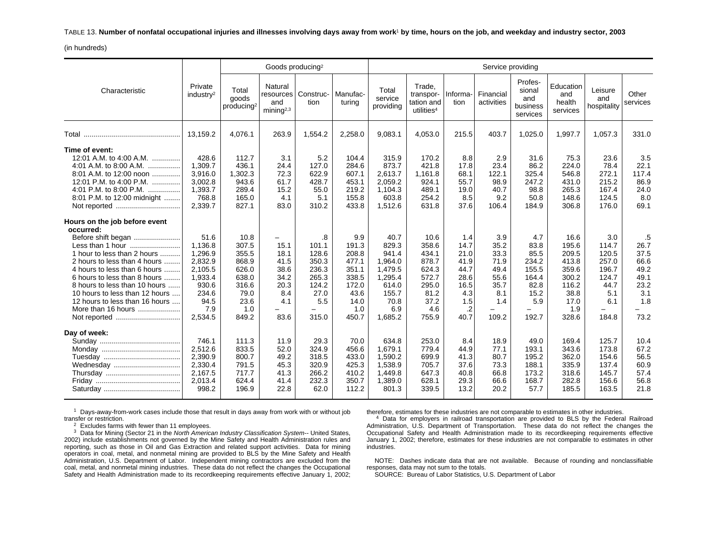TABLE 13. **Number of nonfatal occupational injuries and illnesses involving days away from work**1 **by time, hours on the job, and weekday and industry sector, 2003**

(in hundreds)

|                                                                                                                                                                                                                                                                                                                                            |                                                                                                         |                                                                                            | Goods producing <sup>2</sup>                                                                   |                                                                                  |                                                                                           |                                                                                                     |                                                                                            |                                                                                      | Service providing                                                          |                                                                                |                                                                                            |                                                                                 |                                                                          |
|--------------------------------------------------------------------------------------------------------------------------------------------------------------------------------------------------------------------------------------------------------------------------------------------------------------------------------------------|---------------------------------------------------------------------------------------------------------|--------------------------------------------------------------------------------------------|------------------------------------------------------------------------------------------------|----------------------------------------------------------------------------------|-------------------------------------------------------------------------------------------|-----------------------------------------------------------------------------------------------------|--------------------------------------------------------------------------------------------|--------------------------------------------------------------------------------------|----------------------------------------------------------------------------|--------------------------------------------------------------------------------|--------------------------------------------------------------------------------------------|---------------------------------------------------------------------------------|--------------------------------------------------------------------------|
| Characteristic                                                                                                                                                                                                                                                                                                                             | Private<br>industry <sup>2</sup>                                                                        | Total<br>goods<br>producing <sup>2</sup>                                                   | Natural<br>resources<br>and<br>minima <sup>2,3</sup>                                           | Construc-<br>tion                                                                | Manufac-<br>turina                                                                        | Total<br>service<br>providing                                                                       | Trade.<br>transpor-<br>tation and<br>utilities <sup>4</sup>                                | Informa-<br>tion                                                                     | Financial<br>activities                                                    | Profes-<br>sional<br>and<br>business<br>services                               | Education<br>and<br>health<br>services                                                     | Leisure<br>and<br>hospitality                                                   | Other<br>services                                                        |
| Total                                                                                                                                                                                                                                                                                                                                      | 13,159.2                                                                                                | 4,076.1                                                                                    | 263.9                                                                                          | 1,554.2                                                                          | 2,258.0                                                                                   | 9,083.1                                                                                             | 4,053.0                                                                                    | 215.5                                                                                | 403.7                                                                      | 1,025.0                                                                        | 1,997.7                                                                                    | 1,057.3                                                                         | 331.0                                                                    |
| Time of event:<br>12:01 A.M. to 4:00 A.M.<br>4:01 A.M. to 8:00 A.M.<br>8:01 A.M. to 12:00 noon<br>12:01 P.M. to 4:00 P.M.<br>4:01 P.M. to 8:00 P.M.<br>.<br>8:01 P.M. to 12:00 midnight<br>Not reported                                                                                                                                    | 428.6<br>1.309.7<br>3,916.0<br>3.002.8<br>1,393.7<br>768.8<br>2,339.7                                   | 112.7<br>436.1<br>1,302.3<br>943.6<br>289.4<br>165.0<br>827.1                              | 3.1<br>24.4<br>72.3<br>61.7<br>15.2<br>4.1<br>83.0                                             | 5.2<br>127.0<br>622.9<br>428.7<br>55.0<br>5.1<br>310.2                           | 104.4<br>284.6<br>607.1<br>453.1<br>219.2<br>155.8<br>433.8                               | 315.9<br>873.7<br>2,613.7<br>2,059.2<br>1,104.3<br>603.8<br>1,512.6                                 | 170.2<br>421.8<br>1,161.8<br>924.1<br>489.1<br>254.2<br>631.8                              | 8.8<br>17.8<br>68.1<br>55.7<br>19.0<br>8.5<br>37.6                                   | 2.9<br>23.4<br>122.1<br>98.9<br>40.7<br>9.2<br>106.4                       | 31.6<br>86.2<br>325.4<br>247.2<br>98.8<br>50.8<br>184.9                        | 75.3<br>224.0<br>546.8<br>431.0<br>265.3<br>148.6<br>306.8                                 | 23.6<br>78.4<br>272.1<br>215.2<br>167.4<br>124.5<br>176.0                       | 3.5<br>22.1<br>117.4<br>86.9<br>24.0<br>8.0<br>69.1                      |
| Hours on the job before event<br>occurred:<br>Before shift began<br>1 hour to less than 2 hours<br>2 hours to less than 4 hours<br>4 hours to less than 6 hours<br>6 hours to less than 8 hours<br>8 hours to less than 10 hours<br>10 hours to less than 12 hours<br>12 hours to less than 16 hours<br>More than 16 hours<br>Not reported | 51.6<br>1.136.8<br>1,296.9<br>2,832.9<br>2.105.5<br>1,933.4<br>930.6<br>234.6<br>94.5<br>7.9<br>2,534.5 | 10.8<br>307.5<br>355.5<br>868.9<br>626.0<br>638.0<br>316.6<br>79.0<br>23.6<br>1.0<br>849.2 | 15.1<br>18.1<br>41.5<br>38.6<br>34.2<br>20.3<br>8.4<br>4.1<br>$\overline{\phantom{0}}$<br>83.6 | 8.<br>101.1<br>128.6<br>350.3<br>236.3<br>265.3<br>124.2<br>27.0<br>5.5<br>315.0 | 9.9<br>191.3<br>208.8<br>477.1<br>351.1<br>338.5<br>172.0<br>43.6<br>14.0<br>1.0<br>450.7 | 40.7<br>829.3<br>941.4<br>1,964.0<br>1,479.5<br>1,295.4<br>614.0<br>155.7<br>70.8<br>6.9<br>1,685.2 | 10.6<br>358.6<br>434.1<br>878.7<br>624.3<br>572.7<br>295.0<br>81.2<br>37.2<br>4.6<br>755.9 | 1.4<br>14.7<br>21.0<br>41.9<br>44.7<br>28.6<br>16.5<br>4.3<br>1.5<br>$\cdot$<br>40.7 | 3.9<br>35.2<br>33.3<br>71.9<br>49.4<br>55.6<br>35.7<br>8.1<br>1.4<br>109.2 | 4.7<br>83.8<br>85.5<br>234.2<br>155.5<br>164.4<br>82.8<br>15.2<br>5.9<br>192.7 | 16.6<br>195.6<br>209.5<br>413.8<br>359.6<br>300.2<br>116.2<br>38.8<br>17.0<br>1.9<br>328.6 | 3.0<br>114.7<br>120.5<br>257.0<br>196.7<br>124.7<br>44.7<br>5.1<br>6.1<br>184.8 | .5<br>26.7<br>37.5<br>66.6<br>49.2<br>49.1<br>23.2<br>3.1<br>1.8<br>73.2 |
| Day of week:<br>Wednesday                                                                                                                                                                                                                                                                                                                  | 746.1<br>2,512.6<br>2,390.9<br>2,330.4<br>2.167.5<br>2,013.4<br>998.2                                   | 111.3<br>833.5<br>800.7<br>791.5<br>717.7<br>624.4<br>196.9                                | 11.9<br>52.0<br>49.2<br>45.3<br>41.3<br>41.4<br>22.8                                           | 29.3<br>324.9<br>318.5<br>320.9<br>266.2<br>232.3<br>62.0                        | 70.0<br>456.6<br>433.0<br>425.3<br>410.2<br>350.7<br>112.2                                | 634.8<br>1,679.1<br>1,590.2<br>1,538.9<br>1,449.8<br>1,389.0<br>801.3                               | 253.0<br>779.4<br>699.9<br>705.7<br>647.3<br>628.1<br>339.5                                | 8.4<br>44.9<br>41.3<br>37.6<br>40.8<br>29.3<br>13.2                                  | 18.9<br>77.1<br>80.7<br>73.3<br>66.8<br>66.6<br>20.2                       | 49.0<br>193.1<br>195.2<br>188.1<br>173.2<br>168.7<br>57.7                      | 169.4<br>343.6<br>362.0<br>335.9<br>318.6<br>282.8<br>185.5                                | 125.7<br>173.8<br>154.6<br>137.4<br>145.7<br>156.6<br>163.5                     | 10.4<br>67.2<br>56.5<br>60.9<br>57.4<br>56.8<br>21.8                     |

 $1$  Days-away-from-work cases include those that result in days away from work with or without job transfer or restriction.

 $2$  Excludes farms with fewer than 11 employees.

 $3$  Data for Mining (Sector 21 in the North American Industry Classification System-- United States, 2002) include establishments not governed by the Mine Safety and Health Administration rules and reporting, such as those in Oil and Gas Extraction and related support activities. Data for mining operators in coal, metal, and nonmetal mining are provided to BLS by the Mine Safety and Health Administration, U.S. Department of Labor. Independent mining contractors are excluded from the coal, metal, and nonmetal mining industries. These data do not reflect the changes the Occupational Safety and Health Administration made to its recordkeeping requirements effective January 1, 2002; therefore, estimates for these industries are not comparable to estimates in other industries.

<sup>4</sup> Data for employers in railroad transportation are provided to BLS by the Federal Railroad Administration, U.S. Department of Transportation. These data do not reflect the changes the Occupational Safety and Health Administration made to its recordkeeping requirements effective January 1, 2002; therefore, estimates for these industries are not comparable to estimates in other industries.

NOTE: Dashes indicate data that are not available. Because of rounding and nonclassifiable responses, data may not sum to the totals.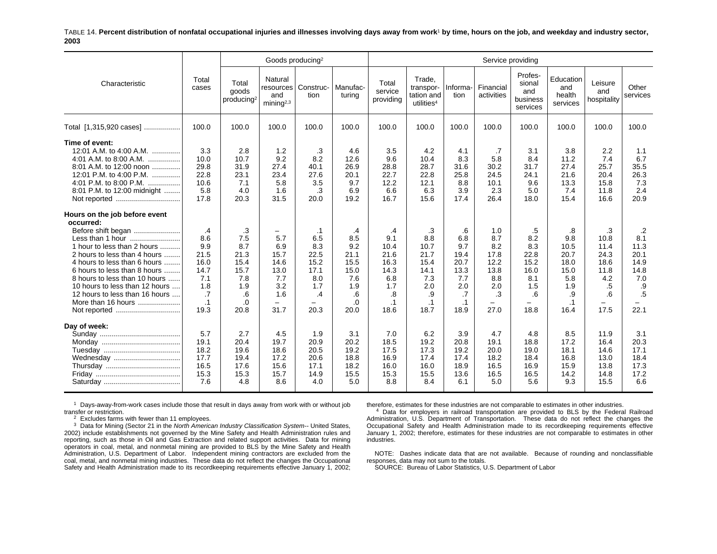TABLE 14. **Percent distribution of nonfatal occupational injuries and illnesses involving days away from work**1 **by time, hours on the job, and weekday and industry sector, 2003**

|                                                                                                                                                                                                                                                                                                                                                                |                                                                                   |                                                                            | Goods producing <sup>2</sup>                                                                     |                                                                                                              |                                                                            |                                                                                    |                                                                                    |                                                                                   | Service providing                                                          |                                                                                                  |                                                                                    |                                                                            |                                                                                                              |
|----------------------------------------------------------------------------------------------------------------------------------------------------------------------------------------------------------------------------------------------------------------------------------------------------------------------------------------------------------------|-----------------------------------------------------------------------------------|----------------------------------------------------------------------------|--------------------------------------------------------------------------------------------------|--------------------------------------------------------------------------------------------------------------|----------------------------------------------------------------------------|------------------------------------------------------------------------------------|------------------------------------------------------------------------------------|-----------------------------------------------------------------------------------|----------------------------------------------------------------------------|--------------------------------------------------------------------------------------------------|------------------------------------------------------------------------------------|----------------------------------------------------------------------------|--------------------------------------------------------------------------------------------------------------|
| Characteristic                                                                                                                                                                                                                                                                                                                                                 | Total<br>cases                                                                    | Total<br>goods<br>producing <sup>2</sup>                                   | Natural<br>resources<br>and<br>minin a <sup>2,3</sup>                                            | Construc-<br>tion                                                                                            | Manufac-<br>turing                                                         | Total<br>service<br>providing                                                      | Trade.<br>transpor-<br>tation and<br>utilities <sup>4</sup>                        | Informa-<br>tion                                                                  | Financial<br>activities                                                    | Profes-<br>sional<br>and<br>business<br>services                                                 | Education<br>and<br>health<br>services                                             | Leisure<br>and<br>hospitality                                              | Other<br>services                                                                                            |
| Total [1,315,920 cases]                                                                                                                                                                                                                                                                                                                                        | 100.0                                                                             | 100.0                                                                      | 100.0                                                                                            | 100.0                                                                                                        | 100.0                                                                      | 100.0                                                                              | 100.0                                                                              | 100.0                                                                             | 100.0                                                                      | 100.0                                                                                            | 100.0                                                                              | 100.0                                                                      | 100.0                                                                                                        |
| Time of event:<br>12:01 A.M. to 4:00 A.M.<br>4:01 A.M. to 8:00 A.M.<br>8:01 A.M. to 12:00 noon<br>12:01 P.M. to 4:00 P.M.<br>4:01 P.M. to 8:00 P.M.<br>8:01 P.M. to 12:00 midnight<br>Not reported                                                                                                                                                             | 3.3<br>10.0<br>29.8<br>22.8<br>10.6<br>5.8<br>17.8                                | 2.8<br>10.7<br>31.9<br>23.1<br>7.1<br>4.0<br>20.3                          | 1.2<br>9.2<br>27.4<br>23.4<br>5.8<br>1.6<br>31.5                                                 | .3<br>8.2<br>40.1<br>27.6<br>3.5<br>.3<br>20.0                                                               | 4.6<br>12.6<br>26.9<br>20.1<br>9.7<br>6.9<br>19.2                          | 3.5<br>9.6<br>28.8<br>22.7<br>12.2<br>6.6<br>16.7                                  | 4.2<br>10.4<br>28.7<br>22.8<br>12.1<br>6.3<br>15.6                                 | 4.1<br>8.3<br>31.6<br>25.8<br>8.8<br>3.9<br>17.4                                  | .7<br>5.8<br>30.2<br>24.5<br>10.1<br>2.3<br>26.4                           | 3.1<br>8.4<br>31.7<br>24.1<br>9.6<br>5.0<br>18.0                                                 | 3.8<br>11.2<br>27.4<br>21.6<br>13.3<br>7.4<br>15.4                                 | 2.2<br>7.4<br>25.7<br>20.4<br>15.8<br>11.8<br>16.6                         | 1.1<br>6.7<br>35.5<br>26.3<br>7.3<br>2.4<br>20.9                                                             |
| Hours on the job before event<br>occurred:<br>Before shift began<br>Less than 1 hour<br>1 hour to less than 2 hours<br>2 hours to less than 4 hours<br>4 hours to less than 6 hours<br>6 hours to less than 8 hours<br>8 hours to less than 10 hours<br>10 hours to less than 12 hours<br>12 hours to less than 16 hours<br>More than 16 hours<br>Not reported | .4<br>8.6<br>9.9<br>21.5<br>16.0<br>14.7<br>7.1<br>1.8<br>.7<br>$\cdot$ 1<br>19.3 | .3<br>7.5<br>8.7<br>21.3<br>15.4<br>15.7<br>7.8<br>1.9<br>.6<br>.0<br>20.8 | $\qquad \qquad -$<br>5.7<br>6.9<br>15.7<br>14.6<br>13.0<br>7.7<br>3.2<br>1.6<br>$\equiv$<br>31.7 | $\cdot$ 1<br>6.5<br>8.3<br>22.5<br>15.2<br>17.1<br>8.0<br>1.7<br>$\cdot$<br>$\overline{\phantom{0}}$<br>20.3 | .4<br>8.5<br>9.2<br>21.1<br>15.5<br>15.0<br>7.6<br>1.9<br>.6<br>.0<br>20.0 | .4<br>9.1<br>10.4<br>21.6<br>16.3<br>14.3<br>6.8<br>1.7<br>.8<br>$\cdot$ 1<br>18.6 | .3<br>8.8<br>10.7<br>21.7<br>15.4<br>14.1<br>7.3<br>2.0<br>.9<br>$\cdot$ 1<br>18.7 | .6<br>6.8<br>9.7<br>19.4<br>20.7<br>13.3<br>7.7<br>2.0<br>.7<br>$\cdot$ 1<br>18.9 | 1.0<br>8.7<br>8.2<br>17.8<br>12.2<br>13.8<br>8.8<br>2.0<br>.3<br>-<br>27.0 | .5<br>8.2<br>8.3<br>22.8<br>15.2<br>16.0<br>8.1<br>1.5<br>.6<br>$\overline{\phantom{0}}$<br>18.8 | .8<br>9.8<br>10.5<br>20.7<br>18.0<br>15.0<br>5.8<br>1.9<br>.9<br>$\cdot$ 1<br>16.4 | .3<br>10.8<br>11.4<br>24.3<br>18.6<br>11.8<br>4.2<br>.5<br>.6<br>-<br>17.5 | $\cdot$ .2<br>8.1<br>11.3<br>20.1<br>14.9<br>14.8<br>7.0<br>.9<br>$.5\,$<br>$\overline{\phantom{0}}$<br>22.1 |
| Day of week:<br>Wednesday                                                                                                                                                                                                                                                                                                                                      | 5.7<br>19.1<br>18.2<br>17.7<br>16.5<br>15.3<br>7.6                                | 2.7<br>20.4<br>19.6<br>19.4<br>17.6<br>15.3<br>4.8                         | 4.5<br>19.7<br>18.6<br>17.2<br>15.6<br>15.7<br>8.6                                               | 1.9<br>20.9<br>20.5<br>20.6<br>17.1<br>14.9<br>4.0                                                           | 3.1<br>20.2<br>19.2<br>18.8<br>18.2<br>15.5<br>5.0                         | 7.0<br>18.5<br>17.5<br>16.9<br>16.0<br>15.3<br>8.8                                 | 6.2<br>19.2<br>17.3<br>17.4<br>16.0<br>15.5<br>8.4                                 | 3.9<br>20.8<br>19.2<br>17.4<br>18.9<br>13.6<br>6.1                                | 4.7<br>19.1<br>20.0<br>18.2<br>16.5<br>16.5<br>5.0                         | 4.8<br>18.8<br>19.0<br>18.4<br>16.9<br>16.5<br>5.6                                               | 8.5<br>17.2<br>18.1<br>16.8<br>15.9<br>14.2<br>9.3                                 | 11.9<br>16.4<br>14.6<br>13.0<br>13.8<br>14.8<br>15.5                       | 3.1<br>20.3<br>17.1<br>18.4<br>17.3<br>17.2<br>6.6                                                           |

 $1$  Days-away-from-work cases include those that result in days away from work with or without job transfer or restriction.

 $2$  Excludes farms with fewer than 11 employees.

 $3$  Data for Mining (Sector 21 in the North American Industry Classification System-- United States, 2002) include establishments not governed by the Mine Safety and Health Administration rules and reporting, such as those in Oil and Gas Extraction and related support activities. Data for mining operators in coal, metal, and nonmetal mining are provided to BLS by the Mine Safety and Health Administration, U.S. Department of Labor. Independent mining contractors are excluded from the coal, metal, and nonmetal mining industries. These data do not reflect the changes the Occupational Safety and Health Administration made to its recordkeeping requirements effective January 1, 2002; therefore, estimates for these industries are not comparable to estimates in other industries.

4 Data for employers in railroad transportation are provided to BLS by the Federal Railroad Administration, U.S. Department of Transportation. These data do not reflect the changes the Occupational Safety and Health Administration made to its recordkeeping requirements effective January 1, 2002; therefore, estimates for these industries are not comparable to estimates in other industries.

NOTE: Dashes indicate data that are not available. Because of rounding and nonclassifiable responses, data may not sum to the totals.